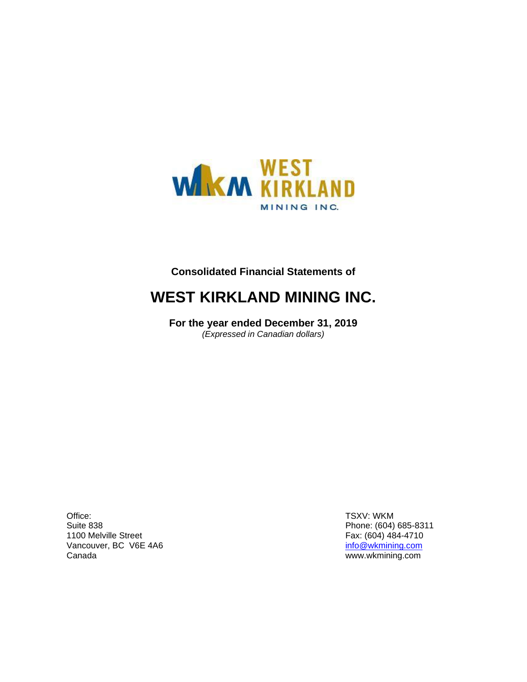

## **Consolidated Financial Statements of**

## **WEST KIRKLAND MINING INC.**

**For the year ended December 31, 2019** *(Expressed in Canadian dollars)*

Office: Suite 838 1100 Melville Street Vancouver, BC V6E 4A6 Canada

TSXV: WKM Phone: (604) 685-8311 Fax: (604) 484-4710 [info@wkmining.com](mailto:info@wkmining.com) www.wkmining.com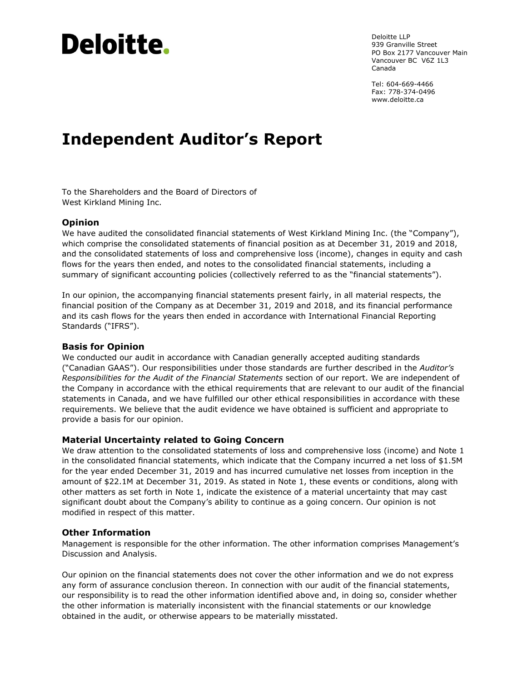# Deloitte.

Deloitte LLP 939 Granville Street PO Box 2177 Vancouver Main Vancouver BC V6Z 1L3 Canada

Tel: 604-669-4466 Fax: 778-374-0496 [www.deloitte.ca](http://www.deloitte.com/)

## **Independent Auditor's Report**

To the Shareholders and the Board of Directors of West Kirkland Mining Inc.

#### **Opinion**

We have audited the consolidated financial statements of West Kirkland Mining Inc. (the "Company"), which comprise the consolidated statements of financial position as at December 31, 2019 and 2018, and the consolidated statements of loss and comprehensive loss (income), changes in equity and cash flows for the years then ended, and notes to the consolidated financial statements, including a summary of significant accounting policies (collectively referred to as the "financial statements").

In our opinion, the accompanying financial statements present fairly, in all material respects, the financial position of the Company as at December 31, 2019 and 2018, and its financial performance and its cash flows for the years then ended in accordance with International Financial Reporting Standards ("IFRS").

#### **Basis for Opinion**

We conducted our audit in accordance with Canadian generally accepted auditing standards ("Canadian GAAS"). Our responsibilities under those standards are further described in the *Auditor's Responsibilities for the Audit of the Financial Statements* section of our report. We are independent of the Company in accordance with the ethical requirements that are relevant to our audit of the financial statements in Canada, and we have fulfilled our other ethical responsibilities in accordance with these requirements. We believe that the audit evidence we have obtained is sufficient and appropriate to provide a basis for our opinion.

#### **Material Uncertainty related to Going Concern**

We draw attention to the consolidated statements of loss and comprehensive loss (income) and Note 1 in the consolidated financial statements, which indicate that the Company incurred a net loss of \$1.5M for the year ended December 31, 2019 and has incurred cumulative net losses from inception in the amount of \$22.1M at December 31, 2019. As stated in Note 1, these events or conditions, along with other matters as set forth in Note 1, indicate the existence of a material uncertainty that may cast significant doubt about the Company's ability to continue as a going concern. Our opinion is not modified in respect of this matter.

#### **Other Information**

Management is responsible for the other information. The other information comprises Management's Discussion and Analysis.

Our opinion on the financial statements does not cover the other information and we do not express any form of assurance conclusion thereon. In connection with our audit of the financial statements, our responsibility is to read the other information identified above and, in doing so, consider whether the other information is materially inconsistent with the financial statements or our knowledge obtained in the audit, or otherwise appears to be materially misstated.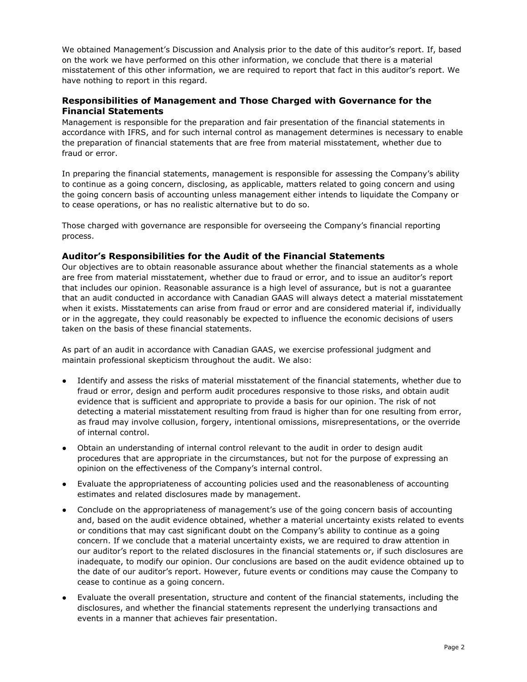We obtained Management's Discussion and Analysis prior to the date of this auditor's report. If, based on the work we have performed on this other information, we conclude that there is a material misstatement of this other information, we are required to report that fact in this auditor's report. We have nothing to report in this regard.

#### **Responsibilities of Management and Those Charged with Governance for the Financial Statements**

Management is responsible for the preparation and fair presentation of the financial statements in accordance with IFRS, and for such internal control as management determines is necessary to enable the preparation of financial statements that are free from material misstatement, whether due to fraud or error.

In preparing the financial statements, management is responsible for assessing the Company's ability to continue as a going concern, disclosing, as applicable, matters related to going concern and using the going concern basis of accounting unless management either intends to liquidate the Company or to cease operations, or has no realistic alternative but to do so.

Those charged with governance are responsible for overseeing the Company's financial reporting process.

#### **Auditor's Responsibilities for the Audit of the Financial Statements**

Our objectives are to obtain reasonable assurance about whether the financial statements as a whole are free from material misstatement, whether due to fraud or error, and to issue an auditor's report that includes our opinion. Reasonable assurance is a high level of assurance, but is not a guarantee that an audit conducted in accordance with Canadian GAAS will always detect a material misstatement when it exists. Misstatements can arise from fraud or error and are considered material if, individually or in the aggregate, they could reasonably be expected to influence the economic decisions of users taken on the basis of these financial statements.

As part of an audit in accordance with Canadian GAAS, we exercise professional judgment and maintain professional skepticism throughout the audit. We also:

- Identify and assess the risks of material misstatement of the financial statements, whether due to fraud or error, design and perform audit procedures responsive to those risks, and obtain audit evidence that is sufficient and appropriate to provide a basis for our opinion. The risk of not detecting a material misstatement resulting from fraud is higher than for one resulting from error, as fraud may involve collusion, forgery, intentional omissions, misrepresentations, or the override of internal control.
- Obtain an understanding of internal control relevant to the audit in order to design audit procedures that are appropriate in the circumstances, but not for the purpose of expressing an opinion on the effectiveness of the Company's internal control.
- Evaluate the appropriateness of accounting policies used and the reasonableness of accounting estimates and related disclosures made by management.
- Conclude on the appropriateness of management's use of the going concern basis of accounting and, based on the audit evidence obtained, whether a material uncertainty exists related to events or conditions that may cast significant doubt on the Company's ability to continue as a going concern. If we conclude that a material uncertainty exists, we are required to draw attention in our auditor's report to the related disclosures in the financial statements or, if such disclosures are inadequate, to modify our opinion. Our conclusions are based on the audit evidence obtained up to the date of our auditor's report. However, future events or conditions may cause the Company to cease to continue as a going concern.
- Evaluate the overall presentation, structure and content of the financial statements, including the disclosures, and whether the financial statements represent the underlying transactions and events in a manner that achieves fair presentation.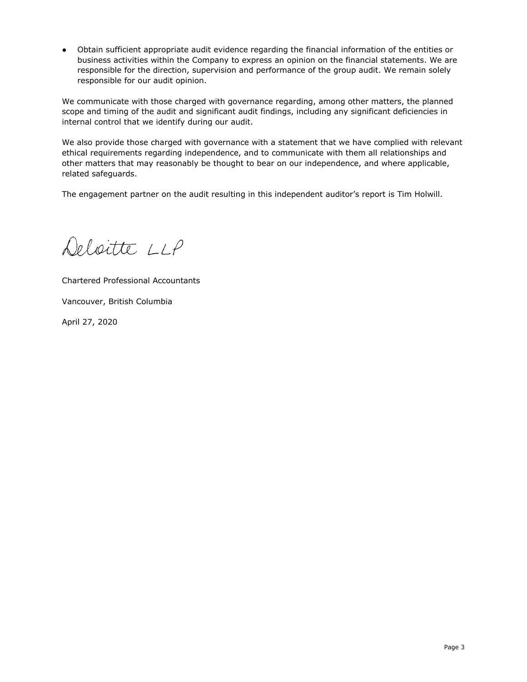● Obtain sufficient appropriate audit evidence regarding the financial information of the entities or business activities within the Company to express an opinion on the financial statements. We are responsible for the direction, supervision and performance of the group audit. We remain solely responsible for our audit opinion.

We communicate with those charged with governance regarding, among other matters, the planned scope and timing of the audit and significant audit findings, including any significant deficiencies in internal control that we identify during our audit.

We also provide those charged with governance with a statement that we have complied with relevant ethical requirements regarding independence, and to communicate with them all relationships and other matters that may reasonably be thought to bear on our independence, and where applicable, related safeguards.

The engagement partner on the audit resulting in this independent auditor's report is Tim Holwill.

Deloitte LLP

Chartered Professional Accountants Vancouver, British Columbia

April 27, 2020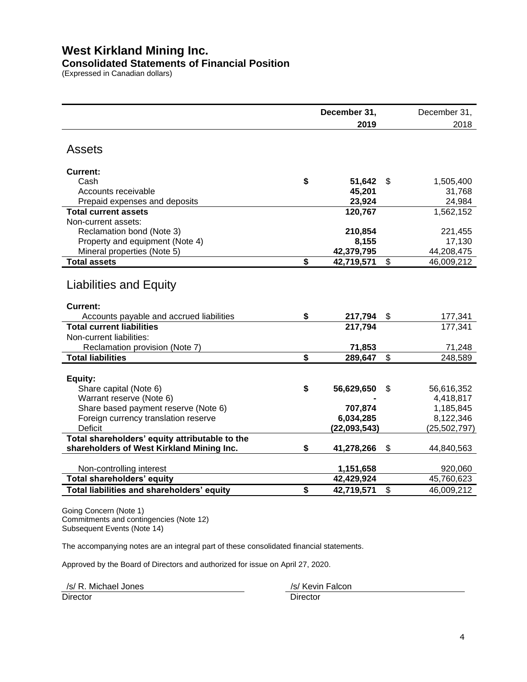## **West Kirkland Mining Inc.**

## **Consolidated Statements of Financial Position**

(Expressed in Canadian dollars)

|                                                | December 31,     | December 31,     |
|------------------------------------------------|------------------|------------------|
|                                                | 2019             | 2018             |
| Assets                                         |                  |                  |
| <b>Current:</b>                                |                  |                  |
| Cash                                           | \$<br>51,642     | \$<br>1,505,400  |
| Accounts receivable                            | 45,201           | 31,768           |
| Prepaid expenses and deposits                  | 23,924           | 24,984           |
| <b>Total current assets</b>                    | 120,767          | 1,562,152        |
| Non-current assets:                            |                  |                  |
| Reclamation bond (Note 3)                      | 210,854          | 221,455          |
| Property and equipment (Note 4)                | 8,155            | 17,130           |
| Mineral properties (Note 5)                    | 42,379,795       | 44,208,475       |
| <b>Total assets</b>                            | \$<br>42,719,571 | \$<br>46,009,212 |
| <b>Liabilities and Equity</b>                  |                  |                  |
| Current:                                       |                  |                  |
| Accounts payable and accrued liabilities       | \$<br>217,794    | \$<br>177,341    |
| <b>Total current liabilities</b>               | 217,794          | 177,341          |
| Non-current liabilities:                       |                  |                  |
| Reclamation provision (Note 7)                 | 71,853           | 71,248           |
| <b>Total liabilities</b>                       | \$<br>289,647    | \$<br>248,589    |
| Equity:                                        |                  |                  |
| Share capital (Note 6)                         | \$<br>56,629,650 | \$<br>56,616,352 |
| Warrant reserve (Note 6)                       |                  | 4,418,817        |
| Share based payment reserve (Note 6)           | 707,874          | 1,185,845        |
| Foreign currency translation reserve           | 6,034,285        | 8,122,346        |
| <b>Deficit</b>                                 | (22,093,543)     | (25, 502, 797)   |
| Total shareholders' equity attributable to the |                  |                  |
| shareholders of West Kirkland Mining Inc.      | \$<br>41,278,266 | \$<br>44,840,563 |
| Non-controlling interest                       | 1,151,658        | 920,060          |
| <b>Total shareholders' equity</b>              | 42,429,924       | 45,760,623       |
| Total liabilities and shareholders' equity     | \$<br>42,719,571 | \$<br>46,009,212 |

Going Concern (Note 1) Commitments and contingencies (Note 12) Subsequent Events (Note 14)

The accompanying notes are an integral part of these consolidated financial statements.

Approved by the Board of Directors and authorized for issue on April 27, 2020.

Director Director **Director** Director /s/ R. Michael Jones /s/ Kevin Falcon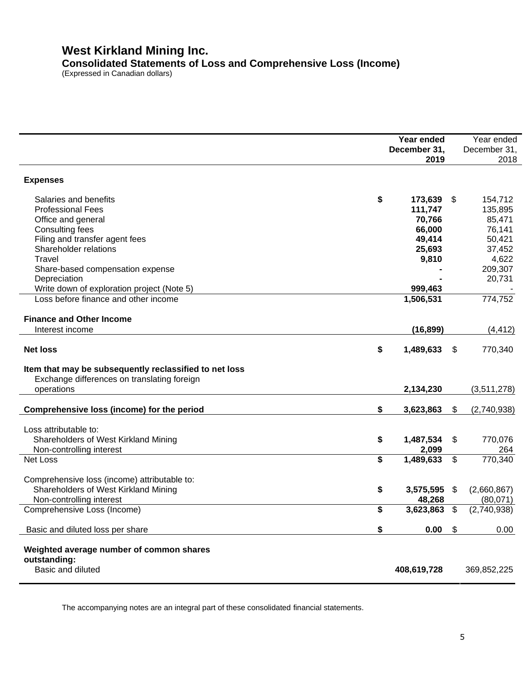## **West Kirkland Mining Inc. Consolidated Statements of Loss and Comprehensive Loss (Income)**

(Expressed in Canadian dollars)

|                                                        | Year ended         |                           | Year ended   |
|--------------------------------------------------------|--------------------|---------------------------|--------------|
|                                                        | December 31,       |                           | December 31, |
|                                                        | 2019               |                           | 2018         |
| <b>Expenses</b>                                        |                    |                           |              |
| Salaries and benefits                                  | \$<br>173,639      | \$                        | 154,712      |
| <b>Professional Fees</b>                               | 111,747            |                           | 135,895      |
| Office and general                                     | 70,766             |                           | 85,471       |
| <b>Consulting fees</b>                                 | 66,000             |                           | 76,141       |
| Filing and transfer agent fees                         | 49,414             |                           | 50,421       |
| Shareholder relations                                  | 25,693             |                           | 37,452       |
| Travel                                                 | 9,810              |                           | 4,622        |
| Share-based compensation expense                       |                    |                           | 209,307      |
| Depreciation                                           |                    |                           | 20,731       |
| Write down of exploration project (Note 5)             | 999,463            |                           |              |
| Loss before finance and other income                   | 1,506,531          |                           | 774,752      |
|                                                        |                    |                           |              |
| <b>Finance and Other Income</b>                        |                    |                           |              |
| Interest income                                        | (16, 899)          |                           | (4, 412)     |
| <b>Net loss</b>                                        | \$<br>1,489,633    | \$                        | 770,340      |
|                                                        |                    |                           |              |
| Item that may be subsequently reclassified to net loss |                    |                           |              |
| Exchange differences on translating foreign            |                    |                           |              |
| operations                                             | 2,134,230          |                           | (3,511,278)  |
|                                                        |                    |                           |              |
| Comprehensive loss (income) for the period             | \$<br>3,623,863    | \$                        | (2,740,938)  |
|                                                        |                    |                           |              |
| Loss attributable to:                                  |                    |                           |              |
| Shareholders of West Kirkland Mining                   | \$<br>1,487,534    | \$                        | 770,076      |
| Non-controlling interest                               | 2,099              |                           | 264          |
| <b>Net Loss</b>                                        | \$<br>1,489,633    | $\boldsymbol{\mathsf{S}}$ | 770,340      |
|                                                        |                    |                           |              |
| Comprehensive loss (income) attributable to:           |                    |                           |              |
| Shareholders of West Kirkland Mining                   | \$<br>3,575,595 \$ |                           | (2,660,867)  |
| Non-controlling interest                               | 48,268             |                           | (80,071)     |
| Comprehensive Loss (Income)                            | \$<br>3,623,863    | \$                        | (2,740,938)  |
|                                                        |                    |                           |              |
| Basic and diluted loss per share                       | \$<br>0.00         | \$                        | 0.00         |
|                                                        |                    |                           |              |
| Weighted average number of common shares               |                    |                           |              |
| outstanding:                                           |                    |                           |              |
| Basic and diluted                                      | 408,619,728        |                           | 369,852,225  |
|                                                        |                    |                           |              |

The accompanying notes are an integral part of these consolidated financial statements.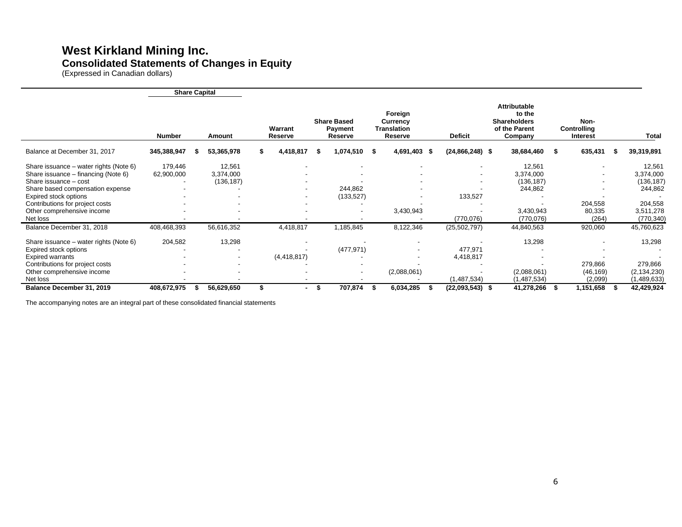## **West Kirkland Mining Inc. Consolidated Statements of Changes in Equity**

(Expressed in Canadian dollars)

|                                                                                                                                                                         | <b>Share Capital</b>  |                                   |                    |                                          |                                                             |                                                      |                                                                                  |      |                                        |   |                                                   |
|-------------------------------------------------------------------------------------------------------------------------------------------------------------------------|-----------------------|-----------------------------------|--------------------|------------------------------------------|-------------------------------------------------------------|------------------------------------------------------|----------------------------------------------------------------------------------|------|----------------------------------------|---|---------------------------------------------------|
|                                                                                                                                                                         | <b>Number</b>         | Amount                            | Warrant<br>Reserve | <b>Share Based</b><br>Payment<br>Reserve | Foreign<br><b>Currency</b><br><b>Translation</b><br>Reserve | <b>Deficit</b>                                       | <b>Attributable</b><br>to the<br><b>Shareholders</b><br>of the Parent<br>Company |      | Non-<br><b>Controlling</b><br>Interest |   | Total                                             |
| Balance at December 31, 2017                                                                                                                                            | 345,388,947           | 53,365,978                        | 4,418,817          | $1,074,510$ \$                           | 4,691,403 \$                                                | $(24,866,248)$ \$                                    | 38,684,460                                                                       | - \$ | 635,431                                | S | 39,319,891                                        |
| Share issuance – water rights (Note 6)<br>Share issuance - financing (Note 6)<br>Share issuance - cost<br>Share based compensation expense                              | 179,446<br>62,900,000 | 12,561<br>3,374,000<br>(136, 187) |                    | $\overline{\phantom{0}}$<br>244,862      |                                                             | $\overline{\phantom{a}}$<br>$\overline{\phantom{a}}$ | 12,561<br>3,374,000<br>(136, 187)<br>244,862                                     |      | $\overline{\phantom{a}}$               |   | 12,561<br>3,374,000<br>(136, 187)<br>244,862      |
| Expired stock options<br>Contributions for project costs<br>Other comprehensive income<br>Net loss                                                                      |                       |                                   |                    | (133, 527)                               | 3,430,943                                                   | 133,527<br>(770, 076)                                | 3,430,943<br>(770, 076)                                                          |      | 204,558<br>80,335<br>(264)             |   | 204,558<br>3,511,278<br>(770, 340)                |
| Balance December 31, 2018                                                                                                                                               | 408,468,393           | 56,616,352                        | 4,418,817          | 1,185,845                                | 8,122,346                                                   | (25, 502, 797)                                       | 44,840,563                                                                       |      | 920,060                                |   | 45,760,623                                        |
| Share issuance – water rights (Note 6)<br>Expired stock options<br><b>Expired warrants</b><br>Contributions for project costs<br>Other comprehensive income<br>Net loss | 204,582               | 13,298                            | (4, 418, 817)      | (477, 971)<br>$\overline{\phantom{0}}$   | (2,088,061)                                                 | 477,971<br>4,418,817<br>(1, 487, 534)                | 13,298<br>(2,088,061)<br>(1,487,534)                                             |      | 279,866<br>(46, 169)<br>(2,099)        |   | 13,298<br>279,866<br>(2, 134, 230)<br>(1,489,633) |
| Balance December 31, 2019                                                                                                                                               | 408,672,975           | 56,629,650                        |                    | 707,874                                  | 6,034,285                                                   | (22,093,543) \$                                      | 41,278,266                                                                       |      | 1,151,658                              |   | 42,429,924                                        |

The accompanying notes are an integral part of these consolidated financial statements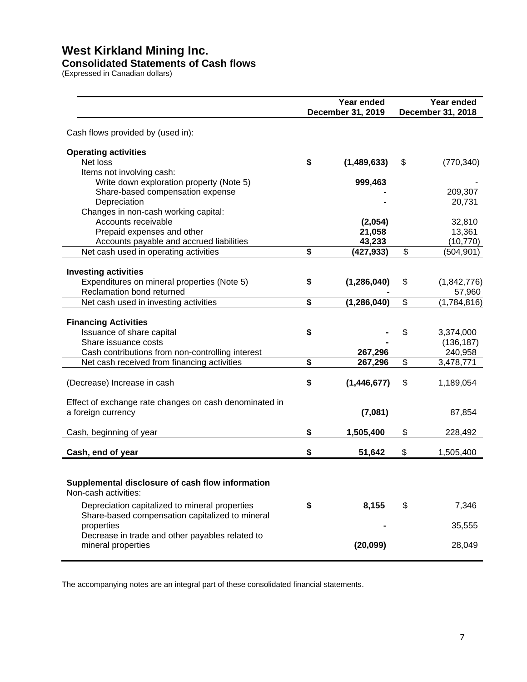## **West Kirkland Mining Inc.**

#### **Consolidated Statements of Cash flows**

(Expressed in Canadian dollars)

|                                                                                                                                      | Year ended<br>December 31, 2019 |                             |    | Year ended<br>December 31, 2018 |
|--------------------------------------------------------------------------------------------------------------------------------------|---------------------------------|-----------------------------|----|---------------------------------|
| Cash flows provided by (used in):                                                                                                    |                                 |                             |    |                                 |
| <b>Operating activities</b><br>Net loss<br>Items not involving cash:                                                                 | \$                              | (1,489,633)                 | \$ | (770, 340)                      |
| Write down exploration property (Note 5)<br>Share-based compensation expense<br>Depreciation<br>Changes in non-cash working capital: |                                 | 999,463                     |    | 209,307<br>20,731               |
| Accounts receivable<br>Prepaid expenses and other<br>Accounts payable and accrued liabilities                                        |                                 | (2,054)<br>21,058<br>43,233 |    | 32,810<br>13,361<br>(10, 770)   |
| Net cash used in operating activities                                                                                                | \$                              | (427, 933)                  | \$ | (504, 901)                      |
| <b>Investing activities</b><br>Expenditures on mineral properties (Note 5)<br>Reclamation bond returned                              | \$                              | (1, 286, 040)               | \$ | (1,842,776)<br>57,960           |
| Net cash used in investing activities                                                                                                | \$                              | (1, 286, 040)               | \$ | (1,784,816)                     |
| <b>Financing Activities</b><br>Issuance of share capital<br>Share issuance costs                                                     | \$                              |                             | \$ | 3,374,000<br>(136, 187)         |
| Cash contributions from non-controlling interest<br>Net cash received from financing activities                                      | \$                              | 267,296<br>267,296          | \$ | 240,958<br>3,478,771            |
| (Decrease) Increase in cash                                                                                                          | \$                              | (1,446,677)                 | \$ | 1,189,054                       |
| Effect of exchange rate changes on cash denominated in<br>a foreign currency                                                         |                                 | (7,081)                     |    | 87,854                          |
| Cash, beginning of year                                                                                                              | \$                              | 1,505,400                   | \$ | 228,492                         |
| Cash, end of year                                                                                                                    | \$                              | 51,642                      | \$ | 1,505,400                       |
| Supplemental disclosure of cash flow information<br>Non-cash activities:                                                             |                                 |                             |    |                                 |
| Depreciation capitalized to mineral properties<br>Share-based compensation capitalized to mineral                                    | \$                              | 8,155                       | \$ | 7,346                           |
| properties<br>Decrease in trade and other payables related to                                                                        |                                 | ٠                           |    | 35,555                          |
| mineral properties                                                                                                                   |                                 | (20,099)                    |    | 28,049                          |

The accompanying notes are an integral part of these consolidated financial statements.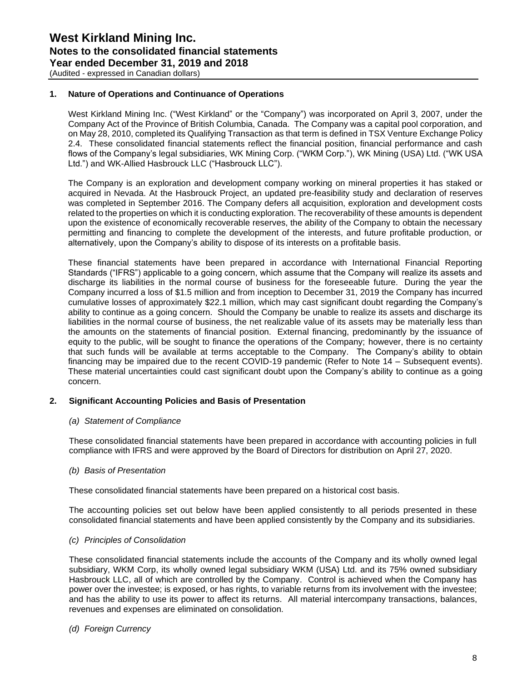(Audited - expressed in Canadian dollars)

#### **1. Nature of Operations and Continuance of Operations**

West Kirkland Mining Inc. ("West Kirkland" or the "Company") was incorporated on April 3, 2007, under the Company Act of the Province of British Columbia, Canada. The Company was a capital pool corporation, and on May 28, 2010, completed its Qualifying Transaction as that term is defined in TSX Venture Exchange Policy 2.4. These consolidated financial statements reflect the financial position, financial performance and cash flows of the Company's legal subsidiaries, WK Mining Corp. ("WKM Corp."), WK Mining (USA) Ltd. ("WK USA Ltd.") and WK-Allied Hasbrouck LLC ("Hasbrouck LLC").

The Company is an exploration and development company working on mineral properties it has staked or acquired in Nevada. At the Hasbrouck Project, an updated pre-feasibility study and declaration of reserves was completed in September 2016. The Company defers all acquisition, exploration and development costs related to the properties on which it is conducting exploration. The recoverability of these amounts is dependent upon the existence of economically recoverable reserves, the ability of the Company to obtain the necessary permitting and financing to complete the development of the interests, and future profitable production, or alternatively, upon the Company's ability to dispose of its interests on a profitable basis.

These financial statements have been prepared in accordance with International Financial Reporting Standards ("IFRS") applicable to a going concern, which assume that the Company will realize its assets and discharge its liabilities in the normal course of business for the foreseeable future. During the year the Company incurred a loss of \$1.5 million and from inception to December 31, 2019 the Company has incurred cumulative losses of approximately \$22.1 million, which may cast significant doubt regarding the Company's ability to continue as a going concern. Should the Company be unable to realize its assets and discharge its liabilities in the normal course of business, the net realizable value of its assets may be materially less than the amounts on the statements of financial position. External financing, predominantly by the issuance of equity to the public, will be sought to finance the operations of the Company; however, there is no certainty that such funds will be available at terms acceptable to the Company. The Company's ability to obtain financing may be impaired due to the recent COVID-19 pandemic (Refer to Note 14 – Subsequent events). These material uncertainties could cast significant doubt upon the Company's ability to continue as a going concern.

#### **2. Significant Accounting Policies and Basis of Presentation**

#### *(a) Statement of Compliance*

These consolidated financial statements have been prepared in accordance with accounting policies in full compliance with IFRS and were approved by the Board of Directors for distribution on April 27, 2020.

#### *(b) Basis of Presentation*

These consolidated financial statements have been prepared on a historical cost basis.

The accounting policies set out below have been applied consistently to all periods presented in these consolidated financial statements and have been applied consistently by the Company and its subsidiaries.

#### *(c) Principles of Consolidation*

These consolidated financial statements include the accounts of the Company and its wholly owned legal subsidiary, WKM Corp, its wholly owned legal subsidiary WKM (USA) Ltd. and its 75% owned subsidiary Hasbrouck LLC, all of which are controlled by the Company. Control is achieved when the Company has power over the investee; is exposed, or has rights, to variable returns from its involvement with the investee; and has the ability to use its power to affect its returns. All material intercompany transactions, balances, revenues and expenses are eliminated on consolidation.

#### *(d) Foreign Currency*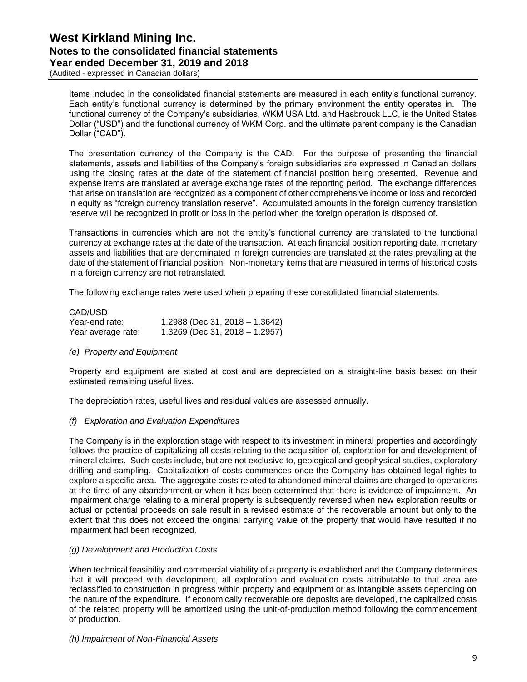(Audited - expressed in Canadian dollars)

Items included in the consolidated financial statements are measured in each entity's functional currency. Each entity's functional currency is determined by the primary environment the entity operates in. The functional currency of the Company's subsidiaries, WKM USA Ltd. and Hasbrouck LLC, is the United States Dollar ("USD") and the functional currency of WKM Corp. and the ultimate parent company is the Canadian Dollar ("CAD").

The presentation currency of the Company is the CAD. For the purpose of presenting the financial statements, assets and liabilities of the Company's foreign subsidiaries are expressed in Canadian dollars using the closing rates at the date of the statement of financial position being presented. Revenue and expense items are translated at average exchange rates of the reporting period. The exchange differences that arise on translation are recognized as a component of other comprehensive income or loss and recorded in equity as "foreign currency translation reserve". Accumulated amounts in the foreign currency translation reserve will be recognized in profit or loss in the period when the foreign operation is disposed of.

Transactions in currencies which are not the entity's functional currency are translated to the functional currency at exchange rates at the date of the transaction. At each financial position reporting date, monetary assets and liabilities that are denominated in foreign currencies are translated at the rates prevailing at the date of the statement of financial position. Non-monetary items that are measured in terms of historical costs in a foreign currency are not retranslated.

The following exchange rates were used when preparing these consolidated financial statements:

| CAD/USD            |                                  |
|--------------------|----------------------------------|
| Year-end rate:     | 1.2988 (Dec 31, 2018 - 1.3642)   |
| Year average rate: | $1.3269$ (Dec 31, 2018 - 1.2957) |

#### *(e) Property and Equipment*

Property and equipment are stated at cost and are depreciated on a straight-line basis based on their estimated remaining useful lives.

The depreciation rates, useful lives and residual values are assessed annually.

#### *(f) Exploration and Evaluation Expenditures*

The Company is in the exploration stage with respect to its investment in mineral properties and accordingly follows the practice of capitalizing all costs relating to the acquisition of, exploration for and development of mineral claims. Such costs include, but are not exclusive to, geological and geophysical studies, exploratory drilling and sampling. Capitalization of costs commences once the Company has obtained legal rights to explore a specific area. The aggregate costs related to abandoned mineral claims are charged to operations at the time of any abandonment or when it has been determined that there is evidence of impairment. An impairment charge relating to a mineral property is subsequently reversed when new exploration results or actual or potential proceeds on sale result in a revised estimate of the recoverable amount but only to the extent that this does not exceed the original carrying value of the property that would have resulted if no impairment had been recognized.

#### *(g) Development and Production Costs*

When technical feasibility and commercial viability of a property is established and the Company determines that it will proceed with development, all exploration and evaluation costs attributable to that area are reclassified to construction in progress within property and equipment or as intangible assets depending on the nature of the expenditure. If economically recoverable ore deposits are developed, the capitalized costs of the related property will be amortized using the unit-of-production method following the commencement of production.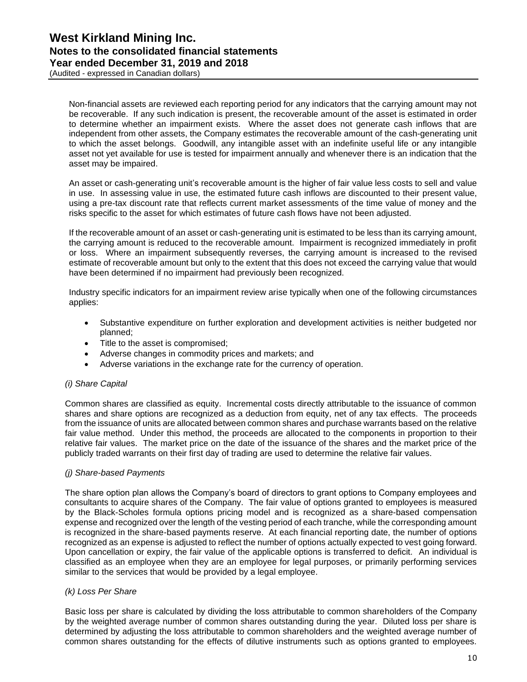(Audited - expressed in Canadian dollars)

Non-financial assets are reviewed each reporting period for any indicators that the carrying amount may not be recoverable. If any such indication is present, the recoverable amount of the asset is estimated in order to determine whether an impairment exists. Where the asset does not generate cash inflows that are independent from other assets, the Company estimates the recoverable amount of the cash-generating unit to which the asset belongs. Goodwill, any intangible asset with an indefinite useful life or any intangible asset not yet available for use is tested for impairment annually and whenever there is an indication that the asset may be impaired.

An asset or cash-generating unit's recoverable amount is the higher of fair value less costs to sell and value in use. In assessing value in use, the estimated future cash inflows are discounted to their present value, using a pre-tax discount rate that reflects current market assessments of the time value of money and the risks specific to the asset for which estimates of future cash flows have not been adjusted.

If the recoverable amount of an asset or cash-generating unit is estimated to be less than its carrying amount, the carrying amount is reduced to the recoverable amount. Impairment is recognized immediately in profit or loss. Where an impairment subsequently reverses, the carrying amount is increased to the revised estimate of recoverable amount but only to the extent that this does not exceed the carrying value that would have been determined if no impairment had previously been recognized.

Industry specific indicators for an impairment review arise typically when one of the following circumstances applies:

- Substantive expenditure on further exploration and development activities is neither budgeted nor planned;
- Title to the asset is compromised;
- Adverse changes in commodity prices and markets; and
- Adverse variations in the exchange rate for the currency of operation.

#### *(i) Share Capital*

Common shares are classified as equity. Incremental costs directly attributable to the issuance of common shares and share options are recognized as a deduction from equity, net of any tax effects. The proceeds from the issuance of units are allocated between common shares and purchase warrants based on the relative fair value method. Under this method, the proceeds are allocated to the components in proportion to their relative fair values. The market price on the date of the issuance of the shares and the market price of the publicly traded warrants on their first day of trading are used to determine the relative fair values.

#### *(j) Share-based Payments*

The share option plan allows the Company's board of directors to grant options to Company employees and consultants to acquire shares of the Company. The fair value of options granted to employees is measured by the Black-Scholes formula options pricing model and is recognized as a share-based compensation expense and recognized over the length of the vesting period of each tranche, while the corresponding amount is recognized in the share-based payments reserve. At each financial reporting date, the number of options recognized as an expense is adjusted to reflect the number of options actually expected to vest going forward. Upon cancellation or expiry, the fair value of the applicable options is transferred to deficit. An individual is classified as an employee when they are an employee for legal purposes, or primarily performing services similar to the services that would be provided by a legal employee.

#### *(k) Loss Per Share*

Basic loss per share is calculated by dividing the loss attributable to common shareholders of the Company by the weighted average number of common shares outstanding during the year. Diluted loss per share is determined by adjusting the loss attributable to common shareholders and the weighted average number of common shares outstanding for the effects of dilutive instruments such as options granted to employees.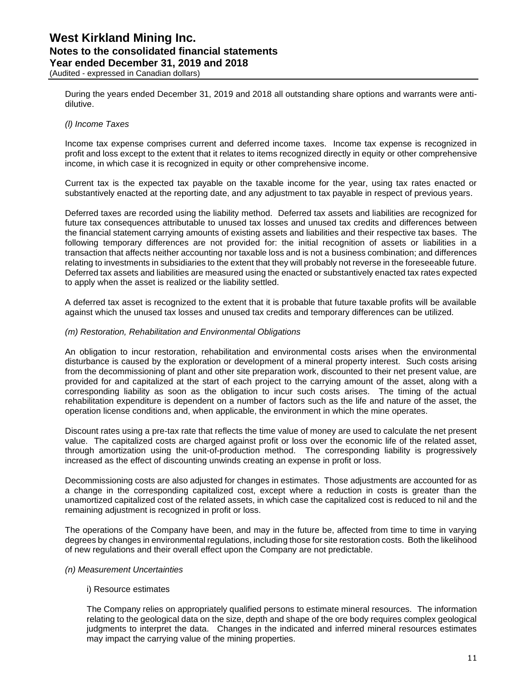(Audited - expressed in Canadian dollars)

During the years ended December 31, 2019 and 2018 all outstanding share options and warrants were antidilutive.

#### *(l) Income Taxes*

Income tax expense comprises current and deferred income taxes. Income tax expense is recognized in profit and loss except to the extent that it relates to items recognized directly in equity or other comprehensive income, in which case it is recognized in equity or other comprehensive income.

Current tax is the expected tax payable on the taxable income for the year, using tax rates enacted or substantively enacted at the reporting date, and any adjustment to tax payable in respect of previous years.

Deferred taxes are recorded using the liability method. Deferred tax assets and liabilities are recognized for future tax consequences attributable to unused tax losses and unused tax credits and differences between the financial statement carrying amounts of existing assets and liabilities and their respective tax bases. The following temporary differences are not provided for: the initial recognition of assets or liabilities in a transaction that affects neither accounting nor taxable loss and is not a business combination; and differences relating to investments in subsidiaries to the extent that they will probably not reverse in the foreseeable future. Deferred tax assets and liabilities are measured using the enacted or substantively enacted tax rates expected to apply when the asset is realized or the liability settled.

A deferred tax asset is recognized to the extent that it is probable that future taxable profits will be available against which the unused tax losses and unused tax credits and temporary differences can be utilized.

#### *(m) Restoration, Rehabilitation and Environmental Obligations*

An obligation to incur restoration, rehabilitation and environmental costs arises when the environmental disturbance is caused by the exploration or development of a mineral property interest. Such costs arising from the decommissioning of plant and other site preparation work, discounted to their net present value, are provided for and capitalized at the start of each project to the carrying amount of the asset, along with a corresponding liability as soon as the obligation to incur such costs arises. The timing of the actual rehabilitation expenditure is dependent on a number of factors such as the life and nature of the asset, the operation license conditions and, when applicable, the environment in which the mine operates.

Discount rates using a pre-tax rate that reflects the time value of money are used to calculate the net present value. The capitalized costs are charged against profit or loss over the economic life of the related asset, through amortization using the unit-of-production method. The corresponding liability is progressively increased as the effect of discounting unwinds creating an expense in profit or loss.

Decommissioning costs are also adjusted for changes in estimates. Those adjustments are accounted for as a change in the corresponding capitalized cost, except where a reduction in costs is greater than the unamortized capitalized cost of the related assets, in which case the capitalized cost is reduced to nil and the remaining adjustment is recognized in profit or loss.

The operations of the Company have been, and may in the future be, affected from time to time in varying degrees by changes in environmental regulations, including those for site restoration costs. Both the likelihood of new regulations and their overall effect upon the Company are not predictable.

#### *(n) Measurement Uncertainties*

#### i) Resource estimates

The Company relies on appropriately qualified persons to estimate mineral resources. The information relating to the geological data on the size, depth and shape of the ore body requires complex geological judgments to interpret the data. Changes in the indicated and inferred mineral resources estimates may impact the carrying value of the mining properties.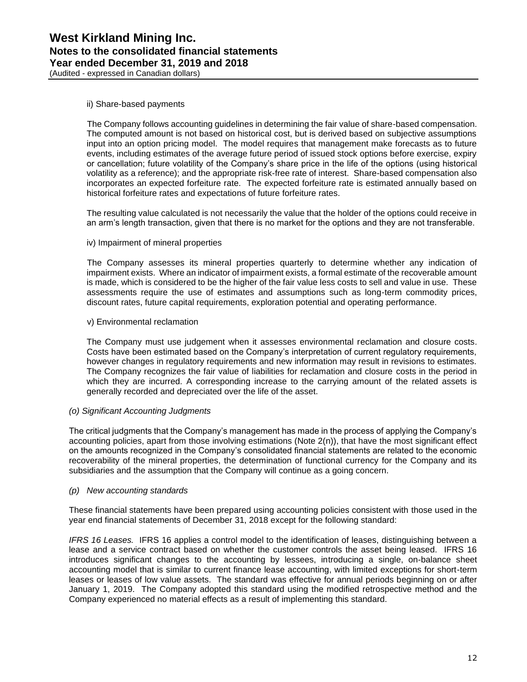#### ii) Share-based payments

The Company follows accounting guidelines in determining the fair value of share-based compensation. The computed amount is not based on historical cost, but is derived based on subjective assumptions input into an option pricing model. The model requires that management make forecasts as to future events, including estimates of the average future period of issued stock options before exercise, expiry or cancellation; future volatility of the Company's share price in the life of the options (using historical volatility as a reference); and the appropriate risk-free rate of interest. Share-based compensation also incorporates an expected forfeiture rate. The expected forfeiture rate is estimated annually based on historical forfeiture rates and expectations of future forfeiture rates.

The resulting value calculated is not necessarily the value that the holder of the options could receive in an arm's length transaction, given that there is no market for the options and they are not transferable.

#### iv) Impairment of mineral properties

The Company assesses its mineral properties quarterly to determine whether any indication of impairment exists. Where an indicator of impairment exists, a formal estimate of the recoverable amount is made, which is considered to be the higher of the fair value less costs to sell and value in use. These assessments require the use of estimates and assumptions such as long-term commodity prices, discount rates, future capital requirements, exploration potential and operating performance.

#### v) Environmental reclamation

The Company must use judgement when it assesses environmental reclamation and closure costs. Costs have been estimated based on the Company's interpretation of current regulatory requirements, however changes in regulatory requirements and new information may result in revisions to estimates. The Company recognizes the fair value of liabilities for reclamation and closure costs in the period in which they are incurred. A corresponding increase to the carrying amount of the related assets is generally recorded and depreciated over the life of the asset.

#### *(o) Significant Accounting Judgments*

The critical judgments that the Company's management has made in the process of applying the Company's accounting policies, apart from those involving estimations (Note 2(n)), that have the most significant effect on the amounts recognized in the Company's consolidated financial statements are related to the economic recoverability of the mineral properties, the determination of functional currency for the Company and its subsidiaries and the assumption that the Company will continue as a going concern.

#### *(p) New accounting standards*

These financial statements have been prepared using accounting policies consistent with those used in the year end financial statements of December 31, 2018 except for the following standard:

*IFRS 16 Leases.* IFRS 16 applies a control model to the identification of leases, distinguishing between a lease and a service contract based on whether the customer controls the asset being leased. IFRS 16 introduces significant changes to the accounting by lessees, introducing a single, on-balance sheet accounting model that is similar to current finance lease accounting, with limited exceptions for short-term leases or leases of low value assets. The standard was effective for annual periods beginning on or after January 1, 2019. The Company adopted this standard using the modified retrospective method and the Company experienced no material effects as a result of implementing this standard.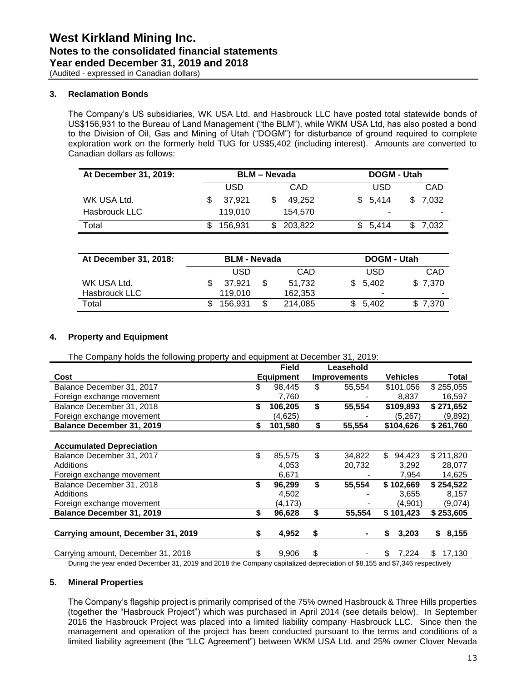(Audited - expressed in Canadian dollars)

#### **3. Reclamation Bonds**

The Company's US subsidiaries, WK USA Ltd. and Hasbrouck LLC have posted total statewide bonds of US\$156,931 to the Bureau of Land Management ("the BLM"), while WKM USA Ltd, has also posted a bond to the Division of Oil, Gas and Mining of Utah ("DOGM") for disturbance of ground required to complete exploration work on the formerly held TUG for US\$5,402 (including interest). Amounts are converted to Canadian dollars as follows:

| At December 31, 2019: |            | <b>BLM – Nevada</b> |            | DOGM - Utah |         |
|-----------------------|------------|---------------------|------------|-------------|---------|
|                       | <b>USD</b> |                     | CAD        | <b>USD</b>  | CAD     |
| WK USA Ltd.           | 37.921     |                     | 49.252     | \$5.414     | \$7.032 |
| Hasbrouck LLC         | 119.010    |                     | 154.570    |             |         |
| Total                 | 156.931    |                     | \$ 203.822 | \$5.414     | \$7.032 |

| At December 31, 2018: | <b>BLM - Nevada</b> |  |         | DOGM - Utah |         |  |  |
|-----------------------|---------------------|--|---------|-------------|---------|--|--|
|                       | USD                 |  | CAD     | USD         | CAD     |  |  |
| WK USA Ltd.           | 37.921              |  | 51.732  | \$5.402     | \$7.370 |  |  |
| Hasbrouck LLC         | 119.010             |  | 162.353 | ۰           |         |  |  |
| Total                 | 156.931             |  | 214.085 | \$5.402     | \$7.370 |  |  |

#### **4. Property and Equipment**

The Company holds the following property and equipment at December 31, 2019:

|                                    |    | <b>Field</b>     | Leasehold           |                 |              |
|------------------------------------|----|------------------|---------------------|-----------------|--------------|
| Cost                               |    | <b>Equipment</b> | <b>Improvements</b> | <b>Vehicles</b> | Total        |
| Balance December 31, 2017          | \$ | 98.445           | \$<br>55,554        | \$101,056       | \$255,055    |
| Foreign exchange movement          |    | 7,760            |                     | 8,837           | 16,597       |
| Balance December 31, 2018          | \$ | 106,205          | \$<br>55,554        | \$109,893       | \$271,652    |
| Foreign exchange movement          |    | (4,625)          |                     | (5,267)         | (9,892)      |
| <b>Balance December 31, 2019</b>   | S  | 101,580          | \$<br>55,554        | \$104,626       | \$261,760    |
|                                    |    |                  |                     |                 |              |
| <b>Accumulated Depreciation</b>    |    |                  |                     |                 |              |
| Balance December 31, 2017          | \$ | 85,575           | \$<br>34,822        | \$<br>94.423    | \$211,820    |
| Additions                          |    | 4,053            | 20,732              | 3,292           | 28,077       |
| Foreign exchange movement          |    | 6,671            |                     | 7,954           | 14,625       |
| Balance December 31, 2018          | \$ | 96,299           | \$<br>55,554        | \$102,669       | \$254,522    |
| Additions                          |    | 4,502            |                     | 3,655           | 8,157        |
| Foreign exchange movement          |    | (4, 173)         |                     | (4,901)         | (9,074)      |
| Balance December 31, 2019          | \$ | 96,628           | \$<br>55,554        | \$101,423       | \$253,605    |
|                                    |    |                  |                     |                 |              |
| Carrying amount, December 31, 2019 | S  | 4,952            | \$                  | 3,203<br>S      | \$8,155      |
|                                    |    |                  |                     |                 |              |
| Carrying amount, December 31, 2018 | S  | 9,906            | \$                  | 7,224<br>S      | 17,130<br>S. |

During the year ended December 31, 2019 and 2018 the Company capitalized depreciation of \$8,155 and \$7,346 respectively

#### **5. Mineral Properties**

The Company's flagship project is primarily comprised of the 75% owned Hasbrouck & Three Hills properties (together the "Hasbrouck Project") which was purchased in April 2014 (see details below). In September 2016 the Hasbrouck Project was placed into a limited liability company Hasbrouck LLC. Since then the management and operation of the project has been conducted pursuant to the terms and conditions of a limited liability agreement (the "LLC Agreement") between WKM USA Ltd. and 25% owner Clover Nevada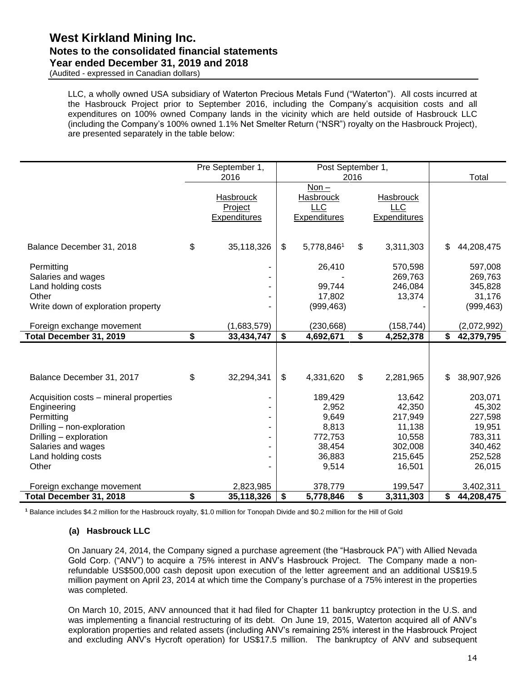(Audited - expressed in Canadian dollars)

LLC, a wholly owned USA subsidiary of Waterton Precious Metals Fund ("Waterton"). All costs incurred at the Hasbrouck Project prior to September 2016, including the Company's acquisition costs and all expenditures on 100% owned Company lands in the vicinity which are held outside of Hasbrouck LLC (including the Company's 100% owned 1.1% Net Smelter Return ("NSR") royalty on the Hasbrouck Project), are presented separately in the table below:

|                                                                                                                                                                                  | Pre September 1,                            | Post September 1,                                                          |                           |                                                                                 |              |                                                                                   |
|----------------------------------------------------------------------------------------------------------------------------------------------------------------------------------|---------------------------------------------|----------------------------------------------------------------------------|---------------------------|---------------------------------------------------------------------------------|--------------|-----------------------------------------------------------------------------------|
|                                                                                                                                                                                  | 2016                                        |                                                                            | 2016                      |                                                                                 |              | Total                                                                             |
|                                                                                                                                                                                  | <b>Hasbrouck</b><br>Project<br>Expenditures | $Non -$<br><b>Hasbrouck</b><br><b>LLC</b><br>Expenditures                  |                           | <b>Hasbrouck</b><br><b>LLC</b><br>Expenditures                                  |              |                                                                                   |
| Balance December 31, 2018                                                                                                                                                        | \$<br>35,118,326                            | \$<br>5,778,8461                                                           | \$                        | 3,311,303                                                                       |              | 44,208,475                                                                        |
| Permitting<br>Salaries and wages<br>Land holding costs<br>Other<br>Write down of exploration property                                                                            | ۰                                           | 26,410<br>99,744<br>17,802<br>(999, 463)                                   |                           | 570,598<br>269,763<br>246,084<br>13,374                                         |              | 597,008<br>269,763<br>345,828<br>31,176<br>(999, 463)                             |
| Foreign exchange movement                                                                                                                                                        | (1,683,579)                                 | (230, 668)                                                                 |                           | (158, 744)                                                                      |              | (2,072,992)                                                                       |
| Total December 31, 2019                                                                                                                                                          | \$<br>33,434,747                            | \$<br>4,692,671                                                            | \$                        | 4,252,378                                                                       | $\mathsf{s}$ | 42,379,795                                                                        |
| Balance December 31, 2017                                                                                                                                                        | \$<br>32,294,341                            | \$<br>4,331,620                                                            | $\boldsymbol{\mathsf{s}}$ | 2,281,965                                                                       | \$           | 38,907,926                                                                        |
| Acquisition costs - mineral properties<br>Engineering<br>Permitting<br>Drilling - non-exploration<br>Drilling - exploration<br>Salaries and wages<br>Land holding costs<br>Other | ۰<br>۰<br>۰<br>۰<br>۰                       | 189,429<br>2,952<br>9,649<br>8,813<br>772,753<br>38,454<br>36,883<br>9,514 |                           | 13,642<br>42,350<br>217,949<br>11,138<br>10,558<br>302,008<br>215,645<br>16,501 |              | 203,071<br>45,302<br>227,598<br>19,951<br>783,311<br>340,462<br>252,528<br>26,015 |
| Foreign exchange movement                                                                                                                                                        | 2,823,985                                   | 378,779                                                                    |                           | 199,547                                                                         |              | 3,402,311                                                                         |
| Total December 31, 2018                                                                                                                                                          | \$<br>35,118,326                            | \$<br>5,778,846                                                            | \$                        | 3,311,303                                                                       | \$           | 44,208,475                                                                        |

**<sup>1</sup>** Balance includes \$4.2 million for the Hasbrouck royalty, \$1.0 million for Tonopah Divide and \$0.2 million for the Hill of Gold

#### **(a) Hasbrouck LLC**

On January 24, 2014, the Company signed a purchase agreement (the "Hasbrouck PA") with Allied Nevada Gold Corp. ("ANV") to acquire a 75% interest in ANV's Hasbrouck Project. The Company made a nonrefundable US\$500,000 cash deposit upon execution of the letter agreement and an additional US\$19.5 million payment on April 23, 2014 at which time the Company's purchase of a 75% interest in the properties was completed.

On March 10, 2015, ANV announced that it had filed for Chapter 11 bankruptcy protection in the U.S. and was implementing a financial restructuring of its debt. On June 19, 2015, Waterton acquired all of ANV's exploration properties and related assets (including ANV's remaining 25% interest in the Hasbrouck Project and excluding ANV's Hycroft operation) for US\$17.5 million. The bankruptcy of ANV and subsequent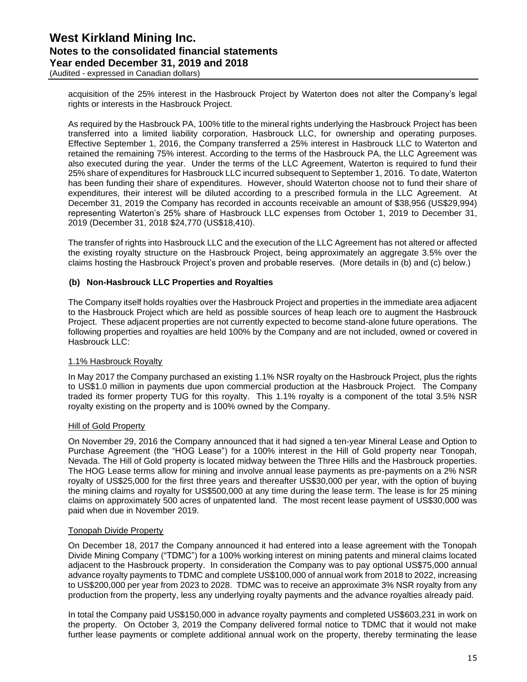(Audited - expressed in Canadian dollars)

acquisition of the 25% interest in the Hasbrouck Project by Waterton does not alter the Company's legal rights or interests in the Hasbrouck Project.

As required by the Hasbrouck PA, 100% title to the mineral rights underlying the Hasbrouck Project has been transferred into a limited liability corporation, Hasbrouck LLC, for ownership and operating purposes. Effective September 1, 2016, the Company transferred a 25% interest in Hasbrouck LLC to Waterton and retained the remaining 75% interest. According to the terms of the Hasbrouck PA, the LLC Agreement was also executed during the year. Under the terms of the LLC Agreement, Waterton is required to fund their 25% share of expenditures for Hasbrouck LLC incurred subsequent to September 1, 2016. To date, Waterton has been funding their share of expenditures. However, should Waterton choose not to fund their share of expenditures, their interest will be diluted according to a prescribed formula in the LLC Agreement. At December 31, 2019 the Company has recorded in accounts receivable an amount of \$38,956 (US\$29,994) representing Waterton's 25% share of Hasbrouck LLC expenses from October 1, 2019 to December 31, 2019 (December 31, 2018 \$24,770 (US\$18,410).

The transfer of rights into Hasbrouck LLC and the execution of the LLC Agreement has not altered or affected the existing royalty structure on the Hasbrouck Project, being approximately an aggregate 3.5% over the claims hosting the Hasbrouck Project's proven and probable reserves. (More details in (b) and (c) below.)

#### **(b) Non-Hasbrouck LLC Properties and Royalties**

The Company itself holds royalties over the Hasbrouck Project and properties in the immediate area adjacent to the Hasbrouck Project which are held as possible sources of heap leach ore to augment the Hasbrouck Project. These adjacent properties are not currently expected to become stand-alone future operations. The following properties and royalties are held 100% by the Company and are not included, owned or covered in Hasbrouck LLC:

#### 1.1% Hasbrouck Royalty

In May 2017 the Company purchased an existing 1.1% NSR royalty on the Hasbrouck Project, plus the rights to US\$1.0 million in payments due upon commercial production at the Hasbrouck Project. The Company traded its former property TUG for this royalty. This 1.1% royalty is a component of the total 3.5% NSR royalty existing on the property and is 100% owned by the Company.

#### Hill of Gold Property

On November 29, 2016 the Company announced that it had signed a ten-year Mineral Lease and Option to Purchase Agreement (the "HOG Lease") for a 100% interest in the Hill of Gold property near Tonopah, Nevada. The Hill of Gold property is located midway between the Three Hills and the Hasbrouck properties. The HOG Lease terms allow for mining and involve annual lease payments as pre-payments on a 2% NSR royalty of US\$25,000 for the first three years and thereafter US\$30,000 per year, with the option of buying the mining claims and royalty for US\$500,000 at any time during the lease term. The lease is for 25 mining claims on approximately 500 acres of unpatented land. The most recent lease payment of US\$30,000 was paid when due in November 2019.

#### Tonopah Divide Property

On December 18, 2017 the Company announced it had entered into a lease agreement with the Tonopah Divide Mining Company ("TDMC") for a 100% working interest on mining patents and mineral claims located adjacent to the Hasbrouck property. In consideration the Company was to pay optional US\$75,000 annual advance royalty payments to TDMC and complete US\$100,000 of annual work from 2018 to 2022, increasing to US\$200,000 per year from 2023 to 2028. TDMC was to receive an approximate 3% NSR royalty from any production from the property, less any underlying royalty payments and the advance royalties already paid.

In total the Company paid US\$150,000 in advance royalty payments and completed US\$603,231 in work on the property. On October 3, 2019 the Company delivered formal notice to TDMC that it would not make further lease payments or complete additional annual work on the property, thereby terminating the lease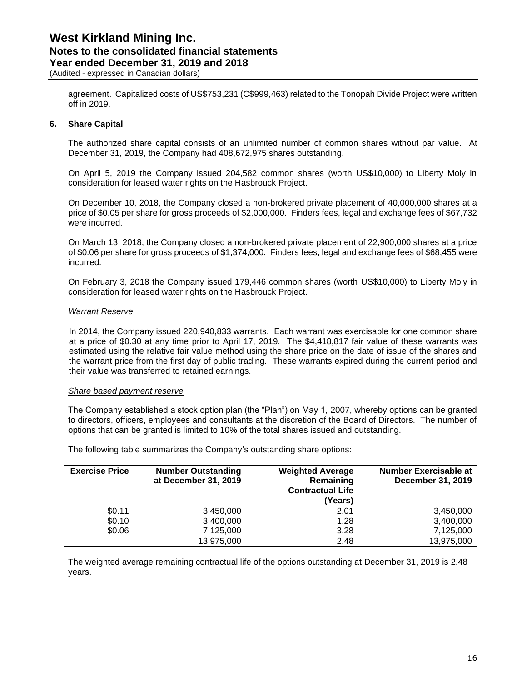(Audited - expressed in Canadian dollars)

agreement. Capitalized costs of US\$753,231 (C\$999,463) related to the Tonopah Divide Project were written off in 2019.

#### **6. Share Capital**

The authorized share capital consists of an unlimited number of common shares without par value. At December 31, 2019, the Company had 408,672,975 shares outstanding.

On April 5, 2019 the Company issued 204,582 common shares (worth US\$10,000) to Liberty Moly in consideration for leased water rights on the Hasbrouck Project.

On December 10, 2018, the Company closed a non-brokered private placement of 40,000,000 shares at a price of \$0.05 per share for gross proceeds of \$2,000,000. Finders fees, legal and exchange fees of \$67,732 were incurred.

On March 13, 2018, the Company closed a non-brokered private placement of 22,900,000 shares at a price of \$0.06 per share for gross proceeds of \$1,374,000. Finders fees, legal and exchange fees of \$68,455 were incurred.

On February 3, 2018 the Company issued 179,446 common shares (worth US\$10,000) to Liberty Moly in consideration for leased water rights on the Hasbrouck Project.

#### *Warrant Reserve*

In 2014, the Company issued 220,940,833 warrants. Each warrant was exercisable for one common share at a price of \$0.30 at any time prior to April 17, 2019. The \$4,418,817 fair value of these warrants was estimated using the relative fair value method using the share price on the date of issue of the shares and the warrant price from the first day of public trading. These warrants expired during the current period and their value was transferred to retained earnings.

#### *Share based payment reserve*

The Company established a stock option plan (the "Plan") on May 1, 2007, whereby options can be granted to directors, officers, employees and consultants at the discretion of the Board of Directors. The number of options that can be granted is limited to 10% of the total shares issued and outstanding.

The following table summarizes the Company's outstanding share options:

| <b>Exercise Price</b> | <b>Number Outstanding</b><br>at December 31, 2019 | <b>Weighted Average</b><br>Remaining<br><b>Contractual Life</b><br>(Years) | <b>Number Exercisable at</b><br>December 31, 2019 |
|-----------------------|---------------------------------------------------|----------------------------------------------------------------------------|---------------------------------------------------|
| \$0.11                | 3,450,000                                         | 2.01                                                                       | 3,450,000                                         |
| \$0.10                | 3,400,000                                         | 1.28                                                                       | 3,400,000                                         |
| \$0.06                | 7,125,000                                         | 3.28                                                                       | 7,125,000                                         |
|                       | 13,975,000                                        | 2.48                                                                       | 13,975,000                                        |

The weighted average remaining contractual life of the options outstanding at December 31, 2019 is 2.48 years.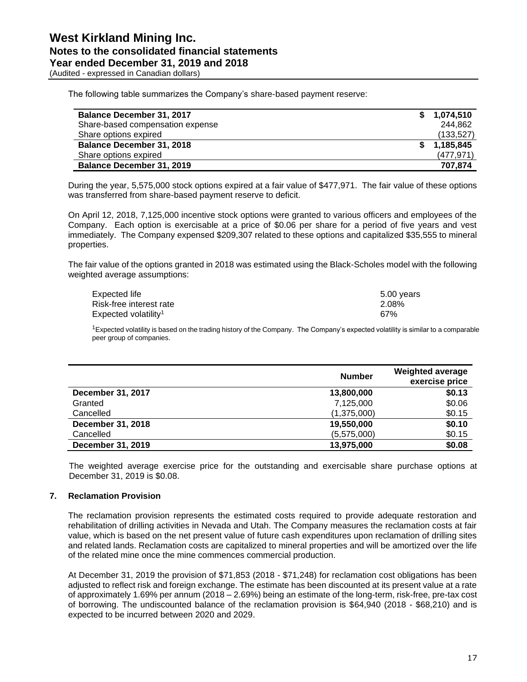(Audited - expressed in Canadian dollars)

The following table summarizes the Company's share-based payment reserve:

| <b>Balance December 31, 2017</b> | 1,074,510  |
|----------------------------------|------------|
| Share-based compensation expense | 244.862    |
| Share options expired            | (133, 527) |
| <b>Balance December 31, 2018</b> | 1,185,845  |
| Share options expired            | (477, 971) |
| <b>Balance December 31, 2019</b> | 707,874    |

During the year, 5,575,000 stock options expired at a fair value of \$477,971. The fair value of these options was transferred from share-based payment reserve to deficit.

On April 12, 2018, 7,125,000 incentive stock options were granted to various officers and employees of the Company. Each option is exercisable at a price of \$0.06 per share for a period of five years and vest immediately. The Company expensed \$209,307 related to these options and capitalized \$35,555 to mineral properties.

The fair value of the options granted in 2018 was estimated using the Black-Scholes model with the following weighted average assumptions:

| Expected life                    | 5.00 years |
|----------------------------------|------------|
| Risk-free interest rate          | 2.08%      |
| Expected volatility <sup>1</sup> | 67%        |

<sup>1</sup>Expected volatility is based on the trading history of the Company. The Company's expected volatility is similar to a comparable peer group of companies.

|                   | <b>Number</b> | <b>Weighted average</b><br>exercise price |
|-------------------|---------------|-------------------------------------------|
| December 31, 2017 | 13,800,000    | \$0.13                                    |
| Granted           | 7,125,000     | \$0.06                                    |
| Cancelled         | (1,375,000)   | \$0.15                                    |
| December 31, 2018 | 19,550,000    | \$0.10                                    |
| Cancelled         | (5,575,000)   | \$0.15                                    |
| December 31, 2019 | 13,975,000    | \$0.08                                    |

The weighted average exercise price for the outstanding and exercisable share purchase options at December 31, 2019 is \$0.08.

#### **7. Reclamation Provision**

The reclamation provision represents the estimated costs required to provide adequate restoration and rehabilitation of drilling activities in Nevada and Utah. The Company measures the reclamation costs at fair value, which is based on the net present value of future cash expenditures upon reclamation of drilling sites and related lands. Reclamation costs are capitalized to mineral properties and will be amortized over the life of the related mine once the mine commences commercial production.

At December 31, 2019 the provision of \$71,853 (2018 - \$71,248) for reclamation cost obligations has been adjusted to reflect risk and foreign exchange. The estimate has been discounted at its present value at a rate of approximately 1.69% per annum (2018 – 2.69%) being an estimate of the long-term, risk-free, pre-tax cost of borrowing. The undiscounted balance of the reclamation provision is \$64,940 (2018 - \$68,210) and is expected to be incurred between 2020 and 2029.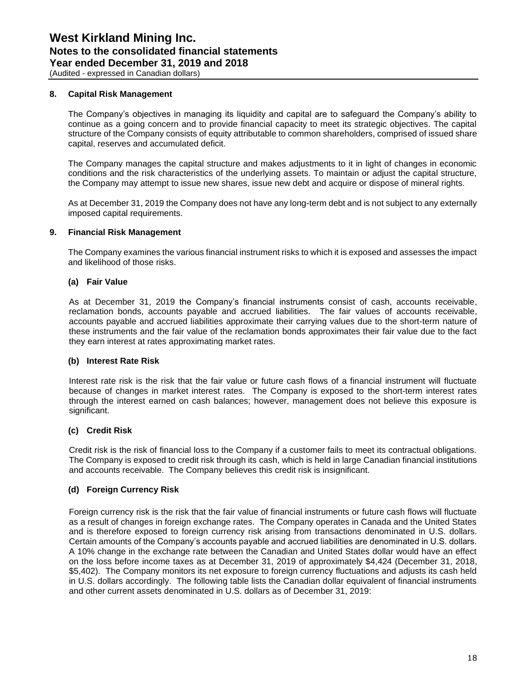(Audited - expressed in Canadian dollars)

#### **8. Capital Risk Management**

The Company's objectives in managing its liquidity and capital are to safeguard the Company's ability to continue as a going concern and to provide financial capacity to meet its strategic objectives. The capital structure of the Company consists of equity attributable to common shareholders, comprised of issued share capital, reserves and accumulated deficit.

The Company manages the capital structure and makes adjustments to it in light of changes in economic conditions and the risk characteristics of the underlying assets. To maintain or adjust the capital structure, the Company may attempt to issue new shares, issue new debt and acquire or dispose of mineral rights.

As at December 31, 2019 the Company does not have any long-term debt and is not subject to any externally imposed capital requirements.

#### **9. Financial Risk Management**

The Company examines the various financial instrument risks to which it is exposed and assesses the impact and likelihood of those risks.

#### **(a) Fair Value**

As at December 31, 2019 the Company's financial instruments consist of cash, accounts receivable, reclamation bonds, accounts payable and accrued liabilities. The fair values of accounts receivable, accounts payable and accrued liabilities approximate their carrying values due to the short-term nature of these instruments and the fair value of the reclamation bonds approximates their fair value due to the fact they earn interest at rates approximating market rates.

#### **(b) Interest Rate Risk**

Interest rate risk is the risk that the fair value or future cash flows of a financial instrument will fluctuate because of changes in market interest rates. The Company is exposed to the short-term interest rates through the interest earned on cash balances; however, management does not believe this exposure is significant.

#### **(c) Credit Risk**

Credit risk is the risk of financial loss to the Company if a customer fails to meet its contractual obligations. The Company is exposed to credit risk through its cash, which is held in large Canadian financial institutions and accounts receivable. The Company believes this credit risk is insignificant.

#### **(d) Foreign Currency Risk**

Foreign currency risk is the risk that the fair value of financial instruments or future cash flows will fluctuate as a result of changes in foreign exchange rates. The Company operates in Canada and the United States and is therefore exposed to foreign currency risk arising from transactions denominated in U.S. dollars. Certain amounts of the Company's accounts payable and accrued liabilities are denominated in U.S. dollars. A 10% change in the exchange rate between the Canadian and United States dollar would have an effect on the loss before income taxes as at December 31, 2019 of approximately \$4,424 (December 31, 2018, \$5,402). The Company monitors its net exposure to foreign currency fluctuations and adjusts its cash held in U.S. dollars accordingly. The following table lists the Canadian dollar equivalent of financial instruments and other current assets denominated in U.S. dollars as of December 31, 2019: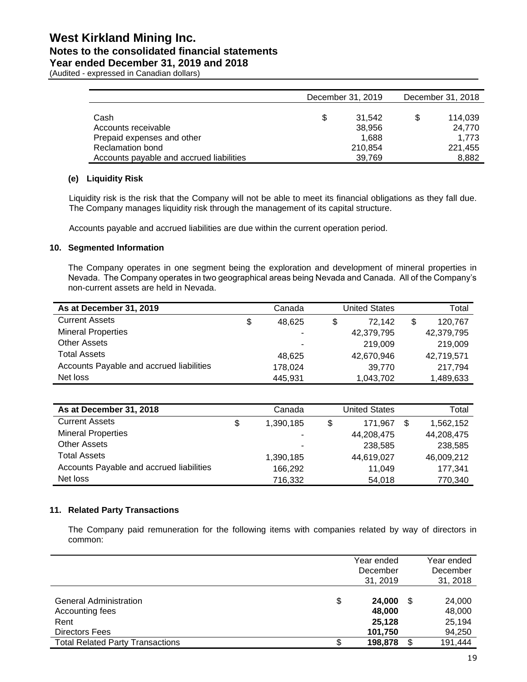## **West Kirkland Mining Inc. Notes to the consolidated financial statements**

**Year ended December 31, 2019 and 2018**

(Audited - expressed in Canadian dollars)

|                                          |   | December 31, 2019 | December 31, 2018 |         |  |
|------------------------------------------|---|-------------------|-------------------|---------|--|
|                                          |   |                   |                   |         |  |
| Cash                                     | S | 31.542            | \$                | 114.039 |  |
| Accounts receivable                      |   | 38.956            |                   | 24.770  |  |
| Prepaid expenses and other               |   | 1,688             |                   | 1.773   |  |
| Reclamation bond                         |   | 210,854           |                   | 221,455 |  |
| Accounts payable and accrued liabilities |   | 39,769            |                   | 8,882   |  |

#### **(e) Liquidity Risk**

Liquidity risk is the risk that the Company will not be able to meet its financial obligations as they fall due. The Company manages liquidity risk through the management of its capital structure.

Accounts payable and accrued liabilities are due within the current operation period.

#### **10. Segmented Information**

The Company operates in one segment being the exploration and development of mineral properties in Nevada. The Company operates in two geographical areas being Nevada and Canada. All of the Company's non-current assets are held in Nevada.

| As at December 31, 2019                  |    | Canada  | United States | Total         |
|------------------------------------------|----|---------|---------------|---------------|
| <b>Current Assets</b>                    | \$ | 48.625  | \$<br>72.142  | \$<br>120.767 |
| <b>Mineral Properties</b>                |    | ۰       | 42,379,795    | 42,379,795    |
| <b>Other Assets</b>                      |    | ۰       | 219,009       | 219,009       |
| <b>Total Assets</b>                      |    | 48.625  | 42,670,946    | 42,719,571    |
| Accounts Payable and accrued liabilities |    | 178,024 | 39,770        | 217,794       |
| Net loss                                 |    | 445,931 | 1,043,702     | 1,489,633     |

| As at December 31, 2018                  | Canada          | United States | Total      |
|------------------------------------------|-----------------|---------------|------------|
| <b>Current Assets</b>                    | \$<br>1,390,185 | \$<br>171.967 | 1,562,152  |
| <b>Mineral Properties</b>                | ۰               | 44,208,475    | 44,208,475 |
| <b>Other Assets</b>                      | ۰               | 238,585       | 238,585    |
| <b>Total Assets</b>                      | 1,390,185       | 44,619,027    | 46,009,212 |
| Accounts Payable and accrued liabilities | 166,292         | 11.049        | 177.341    |
| Net loss                                 | 716,332         | 54,018        | 770,340    |

#### **11. Related Party Transactions**

The Company paid remuneration for the following items with companies related by way of directors in common:

|                                                                                  | Year ended<br>December<br>31, 2019    |     | Year ended<br>December<br>31, 2018   |
|----------------------------------------------------------------------------------|---------------------------------------|-----|--------------------------------------|
| \$<br><b>General Administration</b><br>Accounting fees<br>Rent<br>Directors Fees | 24,000<br>48,000<br>25,128<br>101,750 | \$  | 24,000<br>48,000<br>25,194<br>94,250 |
| <b>Total Related Party Transactions</b><br>\$                                    | 198,878                               | \$. | 191,444                              |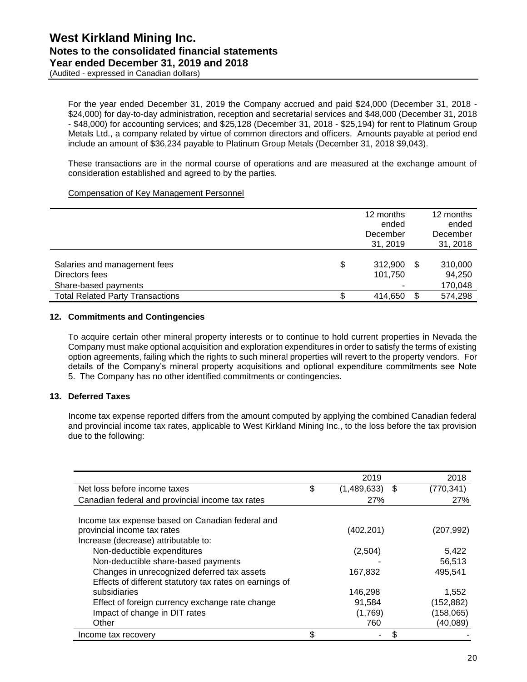(Audited - expressed in Canadian dollars)

For the year ended December 31, 2019 the Company accrued and paid \$24,000 (December 31, 2018 - \$24,000) for day-to-day administration, reception and secretarial services and \$48,000 (December 31, 2018 - \$48,000) for accounting services; and \$25,128 (December 31, 2018 - \$25,194) for rent to Platinum Group Metals Ltd., a company related by virtue of common directors and officers. Amounts payable at period end include an amount of \$36,234 payable to Platinum Group Metals (December 31, 2018 \$9,043).

These transactions are in the normal course of operations and are measured at the exchange amount of consideration established and agreed to by the parties.

#### Compensation of Key Management Personnel

|                                                                        | 12 months<br>ended<br>December<br>31, 2019 | 12 months<br>ended<br>December<br>31, 2018 |
|------------------------------------------------------------------------|--------------------------------------------|--------------------------------------------|
| Salaries and management fees<br>Directors fees<br>Share-based payments | \$<br>312,900<br>101,750                   | \$<br>310,000<br>94,250<br>170,048         |
| <b>Total Related Party Transactions</b>                                | 414,650                                    | \$<br>574,298                              |

#### **12. Commitments and Contingencies**

To acquire certain other mineral property interests or to continue to hold current properties in Nevada the Company must make optional acquisition and exploration expenditures in order to satisfy the terms of existing option agreements, failing which the rights to such mineral properties will revert to the property vendors. For details of the Company's mineral property acquisitions and optional expenditure commitments see Note 5. The Company has no other identified commitments or contingencies.

#### **13. Deferred Taxes**

Income tax expense reported differs from the amount computed by applying the combined Canadian federal and provincial income tax rates, applicable to West Kirkland Mining Inc., to the loss before the tax provision due to the following:

|                                                         |     | 2019             | 2018       |
|---------------------------------------------------------|-----|------------------|------------|
| Net loss before income taxes                            | \$  | $(1,489,633)$ \$ | (770, 341) |
| Canadian federal and provincial income tax rates        |     | <b>27%</b>       | 27%        |
|                                                         |     |                  |            |
| Income tax expense based on Canadian federal and        |     |                  |            |
| provincial income tax rates                             |     | (402, 201)       | (207,992)  |
| Increase (decrease) attributable to:                    |     |                  |            |
| Non-deductible expenditures                             |     | (2,504)          | 5,422      |
| Non-deductible share-based payments                     |     |                  | 56,513     |
| Changes in unrecognized deferred tax assets             |     | 167,832          | 495.541    |
| Effects of different statutory tax rates on earnings of |     |                  |            |
| subsidiaries                                            |     | 146,298          | 1,552      |
| Effect of foreign currency exchange rate change         |     | 91,584           | (152, 882) |
| Impact of change in DIT rates                           |     | (1,769)          | (158, 065) |
| Other                                                   |     | 760              | (40,089)   |
| Income tax recovery                                     | \$. |                  |            |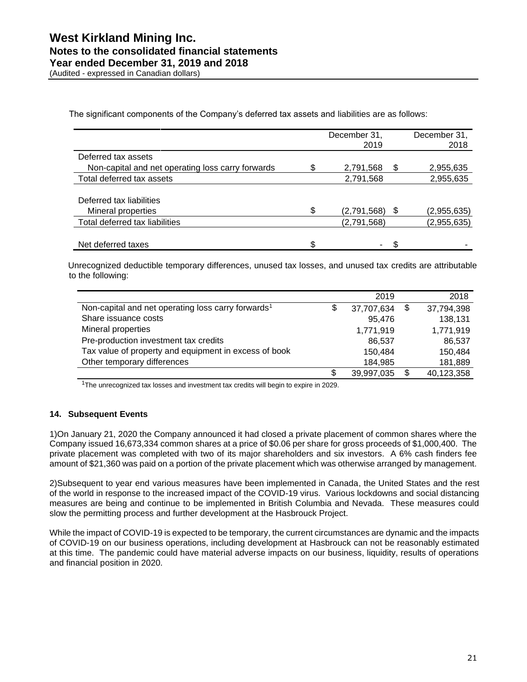(Audited - expressed in Canadian dollars)

The significant components of the Company's deferred tax assets and liabilities are as follows:

|                                                   | December 31,<br>2019 |    | December 31,<br>2018 |
|---------------------------------------------------|----------------------|----|----------------------|
| Deferred tax assets                               |                      |    |                      |
| Non-capital and net operating loss carry forwards | 2,791,568            | \$ | 2,955,635            |
| Total deferred tax assets                         | 2,791,568            |    | 2,955,635            |
|                                                   |                      |    |                      |
| Deferred tax liabilities                          |                      |    |                      |
| Mineral properties                                | \$<br>(2,791,568)    | \$ | (2,955,635)          |
| Total deferred tax liabilities                    | (2,791,568)          |    | (2,955,635)          |
|                                                   |                      |    |                      |
| Net deferred taxes                                | \$<br>۰              | S  |                      |

Unrecognized deductible temporary differences, unused tax losses, and unused tax credits are attributable to the following:

|                                                                | 2019             |    | 2018       |
|----------------------------------------------------------------|------------------|----|------------|
| Non-capital and net operating loss carry forwards <sup>1</sup> | \$<br>37,707,634 | \$ | 37,794,398 |
| Share issuance costs                                           | 95.476           |    | 138,131    |
| Mineral properties                                             | 1,771,919        |    | 1,771,919  |
| Pre-production investment tax credits                          | 86,537           |    | 86,537     |
| Tax value of property and equipment in excess of book          | 150,484          |    | 150,484    |
| Other temporary differences                                    | 184,985          |    | 181,889    |
|                                                                | \$<br>39,997,035 | S  | 40,123,358 |

<sup>1</sup>The unrecognized tax losses and investment tax credits will begin to expire in 2029.

#### **14. Subsequent Events**

1)On January 21, 2020 the Company announced it had closed a private placement of common shares where the Company issued 16,673,334 common shares at a price of \$0.06 per share for gross proceeds of \$1,000,400. The private placement was completed with two of its major shareholders and six investors. A 6% cash finders fee amount of \$21,360 was paid on a portion of the private placement which was otherwise arranged by management.

2)Subsequent to year end various measures have been implemented in Canada, the United States and the rest of the world in response to the increased impact of the COVID-19 virus. Various lockdowns and social distancing measures are being and continue to be implemented in British Columbia and Nevada. These measures could slow the permitting process and further development at the Hasbrouck Project.

While the impact of COVID-19 is expected to be temporary, the current circumstances are dynamic and the impacts of COVID-19 on our business operations, including development at Hasbrouck can not be reasonably estimated at this time. The pandemic could have material adverse impacts on our business, liquidity, results of operations and financial position in 2020.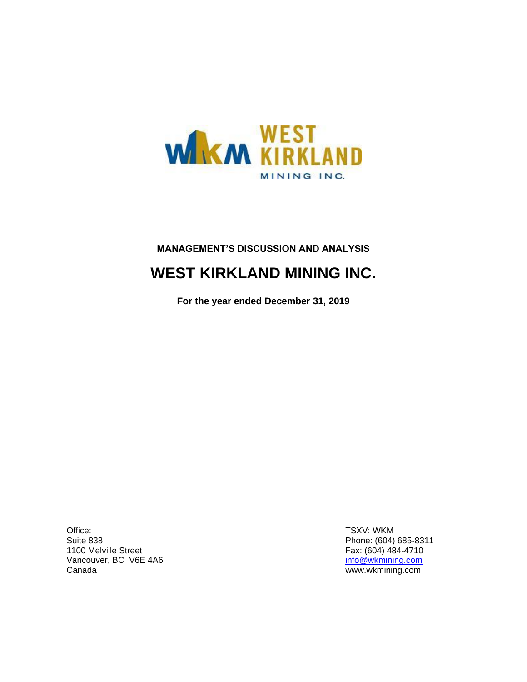

## **MANAGEMENT'S DISCUSSION AND ANALYSIS**

## **WEST KIRKLAND MINING INC.**

**For the year ended December 31, 2019**

Office: Suite 838 1100 Melville Street Vancouver, BC V6E 4A6 Canada

TSXV: WKM Phone: (604) 685-8311 Fax: (604) 484-4710 [info@wkmining.com](mailto:info@wkmining.com) www.wkmining.com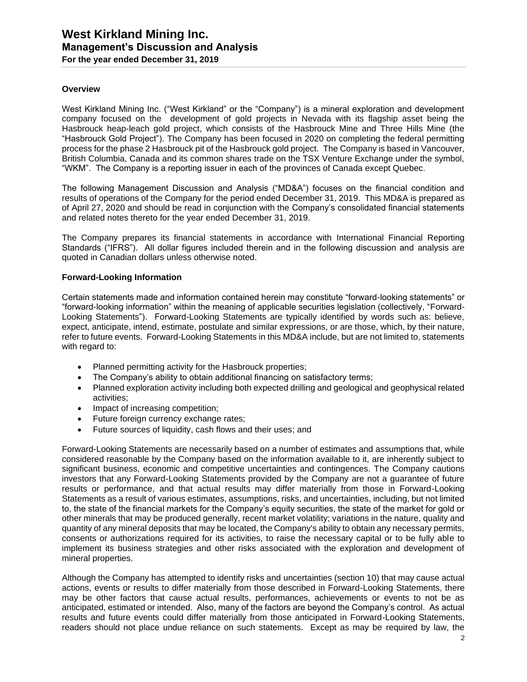#### **Overview**

West Kirkland Mining Inc. ("West Kirkland" or the "Company") is a mineral exploration and development company focused on the development of gold projects in Nevada with its flagship asset being the Hasbrouck heap-leach gold project, which consists of the Hasbrouck Mine and Three Hills Mine (the "Hasbrouck Gold Project"). The Company has been focused in 2020 on completing the federal permitting process for the phase 2 Hasbrouck pit of the Hasbrouck gold project. The Company is based in Vancouver, British Columbia, Canada and its common shares trade on the TSX Venture Exchange under the symbol, "WKM". The Company is a reporting issuer in each of the provinces of Canada except Quebec.

The following Management Discussion and Analysis ("MD&A") focuses on the financial condition and results of operations of the Company for the period ended December 31, 2019. This MD&A is prepared as of April 27, 2020 and should be read in conjunction with the Company's consolidated financial statements and related notes thereto for the year ended December 31, 2019.

The Company prepares its financial statements in accordance with International Financial Reporting Standards ("IFRS"). All dollar figures included therein and in the following discussion and analysis are quoted in Canadian dollars unless otherwise noted.

#### **Forward-Looking Information**

Certain statements made and information contained herein may constitute "forward-looking statements" or "forward-looking information" within the meaning of applicable securities legislation (collectively, "Forward-Looking Statements"). Forward-Looking Statements are typically identified by words such as: believe, expect, anticipate, intend, estimate, postulate and similar expressions, or are those, which, by their nature, refer to future events. Forward-Looking Statements in this MD&A include, but are not limited to, statements with regard to:

- Planned permitting activity for the Hasbrouck properties;
- The Company's ability to obtain additional financing on satisfactory terms;
- Planned exploration activity including both expected drilling and geological and geophysical related activities;
- Impact of increasing competition;
- Future foreign currency exchange rates;
- Future sources of liquidity, cash flows and their uses; and

Forward-Looking Statements are necessarily based on a number of estimates and assumptions that, while considered reasonable by the Company based on the information available to it, are inherently subject to significant business, economic and competitive uncertainties and contingences. The Company cautions investors that any Forward-Looking Statements provided by the Company are not a guarantee of future results or performance, and that actual results may differ materially from those in Forward-Looking Statements as a result of various estimates, assumptions, risks, and uncertainties, including, but not limited to, the state of the financial markets for the Company's equity securities, the state of the market for gold or other minerals that may be produced generally, recent market volatility; variations in the nature, quality and quantity of any mineral deposits that may be located, the Company's ability to obtain any necessary permits, consents or authorizations required for its activities, to raise the necessary capital or to be fully able to implement its business strategies and other risks associated with the exploration and development of mineral properties.

Although the Company has attempted to identify risks and uncertainties (section 10) that may cause actual actions, events or results to differ materially from those described in Forward-Looking Statements, there may be other factors that cause actual results, performances, achievements or events to not be as anticipated, estimated or intended. Also, many of the factors are beyond the Company's control. As actual results and future events could differ materially from those anticipated in Forward-Looking Statements, readers should not place undue reliance on such statements. Except as may be required by law, the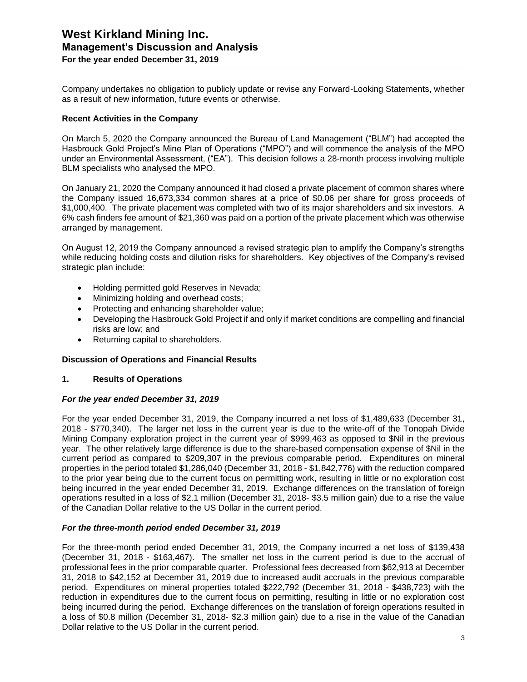Company undertakes no obligation to publicly update or revise any Forward-Looking Statements, whether as a result of new information, future events or otherwise.

#### **Recent Activities in the Company**

On March 5, 2020 the Company announced the Bureau of Land Management ("BLM") had accepted the Hasbrouck Gold Project's Mine Plan of Operations ("MPO") and will commence the analysis of the MPO under an Environmental Assessment, ("EA"). This decision follows a 28-month process involving multiple BLM specialists who analysed the MPO.

On January 21, 2020 the Company announced it had closed a private placement of common shares where the Company issued 16,673,334 common shares at a price of \$0.06 per share for gross proceeds of \$1,000,400. The private placement was completed with two of its major shareholders and six investors. A 6% cash finders fee amount of \$21,360 was paid on a portion of the private placement which was otherwise arranged by management.

On August 12, 2019 the Company announced a revised strategic plan to amplify the Company's strengths while reducing holding costs and dilution risks for shareholders. Key objectives of the Company's revised strategic plan include:

- Holding permitted gold Reserves in Nevada;
- Minimizing holding and overhead costs;
- Protecting and enhancing shareholder value;
- Developing the Hasbrouck Gold Project if and only if market conditions are compelling and financial risks are low; and
- Returning capital to shareholders.

#### **Discussion of Operations and Financial Results**

#### **1. Results of Operations**

#### *For the year ended December 31, 2019*

For the year ended December 31, 2019, the Company incurred a net loss of \$1,489,633 (December 31, 2018 - \$770,340). The larger net loss in the current year is due to the write-off of the Tonopah Divide Mining Company exploration project in the current year of \$999,463 as opposed to \$Nil in the previous year. The other relatively large difference is due to the share-based compensation expense of \$Nil in the current period as compared to \$209,307 in the previous comparable period. Expenditures on mineral properties in the period totaled \$1,286,040 (December 31, 2018 - \$1,842,776) with the reduction compared to the prior year being due to the current focus on permitting work, resulting in little or no exploration cost being incurred in the year ended December 31, 2019. Exchange differences on the translation of foreign operations resulted in a loss of \$2.1 million (December 31, 2018- \$3.5 million gain) due to a rise the value of the Canadian Dollar relative to the US Dollar in the current period.

#### *For the three-month period ended December 31, 2019*

For the three-month period ended December 31, 2019, the Company incurred a net loss of \$139,438 (December 31, 2018 - \$163,467). The smaller net loss in the current period is due to the accrual of professional fees in the prior comparable quarter. Professional fees decreased from \$62,913 at December 31, 2018 to \$42,152 at December 31, 2019 due to increased audit accruals in the previous comparable period. Expenditures on mineral properties totaled \$222,792 (December 31, 2018 - \$438,723) with the reduction in expenditures due to the current focus on permitting, resulting in little or no exploration cost being incurred during the period. Exchange differences on the translation of foreign operations resulted in a loss of \$0.8 million (December 31, 2018- \$2.3 million gain) due to a rise in the value of the Canadian Dollar relative to the US Dollar in the current period.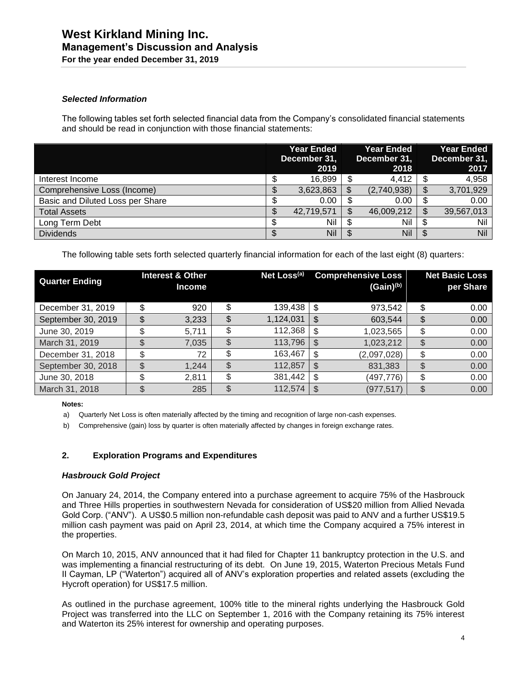#### *Selected Information*

The following tables set forth selected financial data from the Company's consolidated financial statements and should be read in conjunction with those financial statements:

|                                  |   | <b>Year Ended</b><br>December 31,<br>2019 |     | <b>Year Ended</b><br>December 31,<br>2018 |    | <b>Year Ended</b><br>December 31,<br>2017 |
|----------------------------------|---|-------------------------------------------|-----|-------------------------------------------|----|-------------------------------------------|
| Interest Income                  |   | 16,899                                    |     | 4.412                                     | S  | 4,958                                     |
| Comprehensive Loss (Income)      |   | 3,623,863                                 | S   | (2,740,938)                               | \$ | 3,701,929                                 |
| Basic and Diluted Loss per Share | Φ | 0.00                                      |     | 0.00                                      | \$ | 0.00                                      |
| <b>Total Assets</b>              |   | 42,719,571                                |     | 46,009,212                                | \$ | 39,567,013                                |
| Long Term Debt                   |   | Nil                                       | -S  | Nil                                       | J  | Nil                                       |
| <b>Dividends</b>                 |   | Nil                                       | \$. | Nil                                       | S  | Nil                                       |

The following table sets forth selected quarterly financial information for each of the last eight (8) quarters:

| <b>Quarter Ending</b> |    | <b>Interest &amp; Other</b><br><b>Income</b> | Net Loss <sup>(a)</sup> |    | <b>Comprehensive Loss</b><br>$(Gain)^{(b)}$ | <b>Net Basic Loss</b><br>per Share |
|-----------------------|----|----------------------------------------------|-------------------------|----|---------------------------------------------|------------------------------------|
| December 31, 2019     |    | 920                                          | \$<br>139,438           | \$ | 973,542                                     | \$<br>0.00                         |
| September 30, 2019    | \$ | 3,233                                        | \$<br>1,124,031         | \$ | 603,544                                     | \$<br>0.00                         |
| June 30, 2019         | \$ | 5,711                                        | \$<br>112,368           | \$ | 1,023,565                                   | \$<br>0.00                         |
| March 31, 2019        |    | 7,035                                        | \$<br>113,796           | S  | 1,023,212                                   | \$<br>0.00                         |
| December 31, 2018     | \$ | 72                                           | \$<br>163,467           | \$ | (2,097,028)                                 | \$<br>0.00                         |
| September 30, 2018    | \$ | 1,244                                        | \$<br>112,857           | \$ | 831,383                                     | \$<br>0.00                         |
| June 30, 2018         | \$ | 2,811                                        | \$<br>381,442           | \$ | (497, 776)                                  | \$<br>0.00                         |
| March 31, 2018        | S  | 285                                          | \$<br>112,574           | \$ | (977,517)                                   | \$<br>0.00                         |

#### **Notes:**

a) Quarterly Net Loss is often materially affected by the timing and recognition of large non-cash expenses.

b) Comprehensive (gain) loss by quarter is often materially affected by changes in foreign exchange rates.

#### **2. Exploration Programs and Expenditures**

#### *Hasbrouck Gold Project*

On January 24, 2014, the Company entered into a purchase agreement to acquire 75% of the Hasbrouck and Three Hills properties in southwestern Nevada for consideration of US\$20 million from Allied Nevada Gold Corp. ("ANV"). A US\$0.5 million non-refundable cash deposit was paid to ANV and a further US\$19.5 million cash payment was paid on April 23, 2014, at which time the Company acquired a 75% interest in the properties.

On March 10, 2015, ANV announced that it had filed for Chapter 11 bankruptcy protection in the U.S. and was implementing a financial restructuring of its debt. On June 19, 2015, Waterton Precious Metals Fund II Cayman, LP ("Waterton") acquired all of ANV's exploration properties and related assets (excluding the Hycroft operation) for US\$17.5 million.

As outlined in the purchase agreement, 100% title to the mineral rights underlying the Hasbrouck Gold Project was transferred into the LLC on September 1, 2016 with the Company retaining its 75% interest and Waterton its 25% interest for ownership and operating purposes.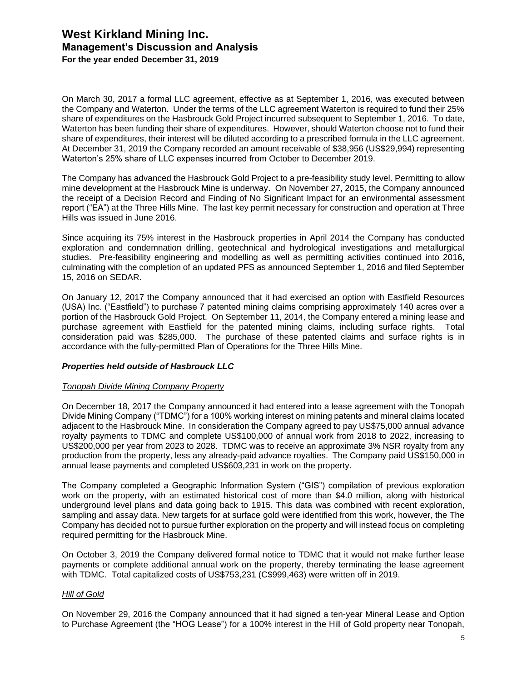On March 30, 2017 a formal LLC agreement, effective as at September 1, 2016, was executed between the Company and Waterton. Under the terms of the LLC agreement Waterton is required to fund their 25% share of expenditures on the Hasbrouck Gold Project incurred subsequent to September 1, 2016. To date, Waterton has been funding their share of expenditures. However, should Waterton choose not to fund their share of expenditures, their interest will be diluted according to a prescribed formula in the LLC agreement. At December 31, 2019 the Company recorded an amount receivable of \$38,956 (US\$29,994) representing Waterton's 25% share of LLC expenses incurred from October to December 2019.

The Company has advanced the Hasbrouck Gold Project to a pre-feasibility study level. Permitting to allow mine development at the Hasbrouck Mine is underway. On November 27, 2015, the Company announced the receipt of a Decision Record and Finding of No Significant Impact for an environmental assessment report ("EA") at the Three Hills Mine. The last key permit necessary for construction and operation at Three Hills was issued in June 2016.

Since acquiring its 75% interest in the Hasbrouck properties in April 2014 the Company has conducted exploration and condemnation drilling, geotechnical and hydrological investigations and metallurgical studies. Pre-feasibility engineering and modelling as well as permitting activities continued into 2016, culminating with the completion of an updated PFS as announced September 1, 2016 and filed September 15, 2016 on SEDAR.

On January 12, 2017 the Company announced that it had exercised an option with Eastfield Resources (USA) Inc. ("Eastfield") to purchase 7 patented mining claims comprising approximately 140 acres over a portion of the Hasbrouck Gold Project. On September 11, 2014, the Company entered a mining lease and purchase agreement with Eastfield for the patented mining claims, including surface rights. Total consideration paid was \$285,000. The purchase of these patented claims and surface rights is in accordance with the fully-permitted Plan of Operations for the Three Hills Mine.

#### *Properties held outside of Hasbrouck LLC*

#### *Tonopah Divide Mining Company Property*

On December 18, 2017 the Company announced it had entered into a lease agreement with the Tonopah Divide Mining Company ("TDMC") for a 100% working interest on mining patents and mineral claims located adjacent to the Hasbrouck Mine. In consideration the Company agreed to pay US\$75,000 annual advance royalty payments to TDMC and complete US\$100,000 of annual work from 2018 to 2022, increasing to US\$200,000 per year from 2023 to 2028. TDMC was to receive an approximate 3% NSR royalty from any production from the property, less any already-paid advance royalties. The Company paid US\$150,000 in annual lease payments and completed US\$603,231 in work on the property.

The Company completed a Geographic Information System ("GIS") compilation of previous exploration work on the property, with an estimated historical cost of more than \$4.0 million, along with historical underground level plans and data going back to 1915. This data was combined with recent exploration, sampling and assay data. New targets for at surface gold were identified from this work, however, the The Company has decided not to pursue further exploration on the property and will instead focus on completing required permitting for the Hasbrouck Mine.

On October 3, 2019 the Company delivered formal notice to TDMC that it would not make further lease payments or complete additional annual work on the property, thereby terminating the lease agreement with TDMC. Total capitalized costs of US\$753,231 (C\$999,463) were written off in 2019.

#### *Hill of Gold*

On November 29, 2016 the Company announced that it had signed a ten-year Mineral Lease and Option to Purchase Agreement (the "HOG Lease") for a 100% interest in the Hill of Gold property near Tonopah,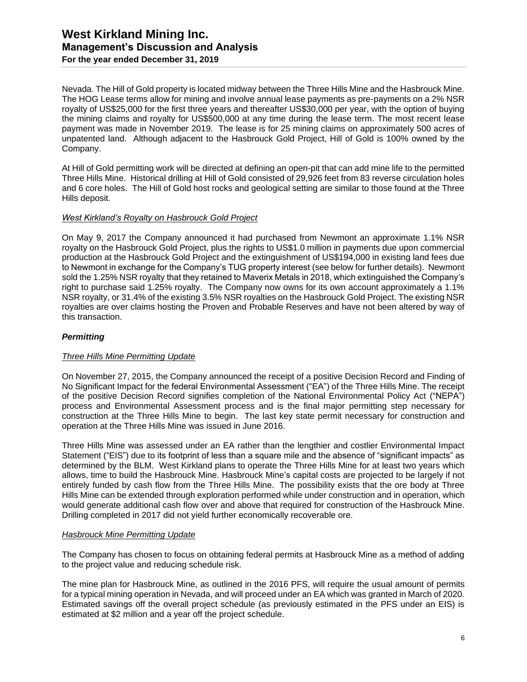### **West Kirkland Mining Inc. Management's Discussion and Analysis For the year ended December 31, 2019**

Nevada. The Hill of Gold property is located midway between the Three Hills Mine and the Hasbrouck Mine. The HOG Lease terms allow for mining and involve annual lease payments as pre-payments on a 2% NSR royalty of US\$25,000 for the first three years and thereafter US\$30,000 per year, with the option of buying the mining claims and royalty for US\$500,000 at any time during the lease term. The most recent lease payment was made in November 2019. The lease is for 25 mining claims on approximately 500 acres of unpatented land. Although adjacent to the Hasbrouck Gold Project, Hill of Gold is 100% owned by the Company.

At Hill of Gold permitting work will be directed at defining an open-pit that can add mine life to the permitted Three Hills Mine. Historical drilling at Hill of Gold consisted of 29,926 feet from 83 reverse circulation holes and 6 core holes. The Hill of Gold host rocks and geological setting are similar to those found at the Three Hills deposit.

#### *West Kirkland's Royalty on Hasbrouck Gold Project*

On May 9, 2017 the Company announced it had purchased from Newmont an approximate 1.1% NSR royalty on the Hasbrouck Gold Project, plus the rights to US\$1.0 million in payments due upon commercial production at the Hasbrouck Gold Project and the extinguishment of US\$194,000 in existing land fees due to Newmont in exchange for the Company's TUG property interest (see below for further details). Newmont sold the 1.25% NSR royalty that they retained to Maverix Metals in 2018, which extinguished the Company's right to purchase said 1.25% royalty. The Company now owns for its own account approximately a 1.1% NSR royalty, or 31.4% of the existing 3.5% NSR royalties on the Hasbrouck Gold Project. The existing NSR royalties are over claims hosting the Proven and Probable Reserves and have not been altered by way of this transaction.

#### *Permitting*

#### *Three Hills Mine Permitting Update*

On November 27, 2015, the Company announced the receipt of a positive Decision Record and Finding of No Significant Impact for the federal Environmental Assessment ("EA") of the Three Hills Mine. The receipt of the positive Decision Record signifies completion of the National Environmental Policy Act ("NEPA") process and Environmental Assessment process and is the final major permitting step necessary for construction at the Three Hills Mine to begin. The last key state permit necessary for construction and operation at the Three Hills Mine was issued in June 2016.

Three Hills Mine was assessed under an EA rather than the lengthier and costlier Environmental Impact Statement ("EIS") due to its footprint of less than a square mile and the absence of "significant impacts" as determined by the BLM. West Kirkland plans to operate the Three Hills Mine for at least two years which allows, time to build the Hasbrouck Mine. Hasbrouck Mine's capital costs are projected to be largely if not entirely funded by cash flow from the Three Hills Mine. The possibility exists that the ore body at Three Hills Mine can be extended through exploration performed while under construction and in operation, which would generate additional cash flow over and above that required for construction of the Hasbrouck Mine. Drilling completed in 2017 did not yield further economically recoverable ore.

#### *Hasbrouck Mine Permitting Update*

The Company has chosen to focus on obtaining federal permits at Hasbrouck Mine as a method of adding to the project value and reducing schedule risk.

The mine plan for Hasbrouck Mine, as outlined in the 2016 PFS, will require the usual amount of permits for a typical mining operation in Nevada, and will proceed under an EA which was granted in March of 2020. Estimated savings off the overall project schedule (as previously estimated in the PFS under an EIS) is estimated at \$2 million and a year off the project schedule.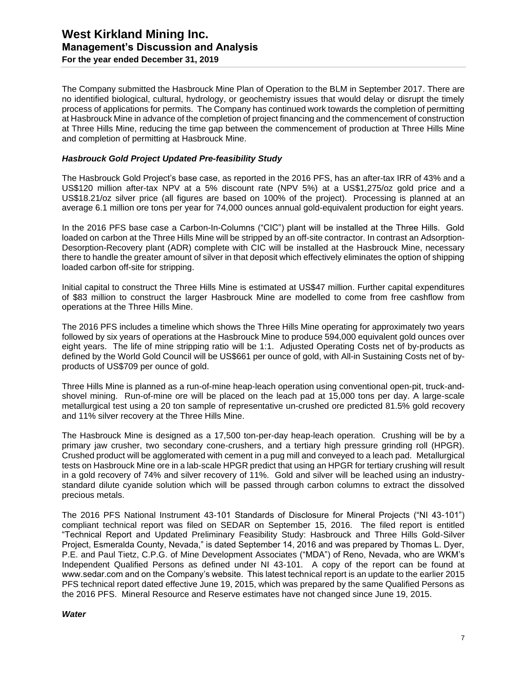The Company submitted the Hasbrouck Mine Plan of Operation to the BLM in September 2017. There are no identified biological, cultural, hydrology, or geochemistry issues that would delay or disrupt the timely process of applications for permits. The Company has continued work towards the completion of permitting at Hasbrouck Mine in advance of the completion of project financing and the commencement of construction at Three Hills Mine, reducing the time gap between the commencement of production at Three Hills Mine and completion of permitting at Hasbrouck Mine.

#### *Hasbrouck Gold Project Updated Pre-feasibility Study*

The Hasbrouck Gold Project's base case, as reported in the 2016 PFS, has an after-tax IRR of 43% and a US\$120 million after-tax NPV at a 5% discount rate (NPV 5%) at a US\$1,275/oz gold price and a US\$18.21/oz silver price (all figures are based on 100% of the project). Processing is planned at an average 6.1 million ore tons per year for 74,000 ounces annual gold-equivalent production for eight years.

In the 2016 PFS base case a Carbon-In-Columns ("CIC") plant will be installed at the Three Hills. Gold loaded on carbon at the Three Hills Mine will be stripped by an off-site contractor. In contrast an Adsorption-Desorption-Recovery plant (ADR) complete with CIC will be installed at the Hasbrouck Mine, necessary there to handle the greater amount of silver in that deposit which effectively eliminates the option of shipping loaded carbon off-site for stripping.

Initial capital to construct the Three Hills Mine is estimated at US\$47 million. Further capital expenditures of \$83 million to construct the larger Hasbrouck Mine are modelled to come from free cashflow from operations at the Three Hills Mine.

The 2016 PFS includes a timeline which shows the Three Hills Mine operating for approximately two years followed by six years of operations at the Hasbrouck Mine to produce 594,000 equivalent gold ounces over eight years. The life of mine stripping ratio will be 1:1. Adjusted Operating Costs net of by-products as defined by the World Gold Council will be US\$661 per ounce of gold, with All-in Sustaining Costs net of byproducts of US\$709 per ounce of gold.

Three Hills Mine is planned as a run-of-mine heap-leach operation using conventional open-pit, truck-andshovel mining. Run-of-mine ore will be placed on the leach pad at 15,000 tons per day. A large-scale metallurgical test using a 20 ton sample of representative un-crushed ore predicted 81.5% gold recovery and 11% silver recovery at the Three Hills Mine.

The Hasbrouck Mine is designed as a 17,500 ton-per-day heap-leach operation. Crushing will be by a primary jaw crusher, two secondary cone-crushers, and a tertiary high pressure grinding roll (HPGR). Crushed product will be agglomerated with cement in a pug mill and conveyed to a leach pad. Metallurgical tests on Hasbrouck Mine ore in a lab-scale HPGR predict that using an HPGR for tertiary crushing will result in a gold recovery of 74% and silver recovery of 11%. Gold and silver will be leached using an industrystandard dilute cyanide solution which will be passed through carbon columns to extract the dissolved precious metals.

The 2016 PFS National Instrument 43-101 Standards of Disclosure for Mineral Projects ("NI 43-101") compliant technical report was filed on SEDAR on September 15, 2016. The filed report is entitled "Technical Report and Updated Preliminary Feasibility Study: Hasbrouck and Three Hills Gold-Silver Project, Esmeralda County, Nevada," is dated September 14, 2016 and was prepared by Thomas L. Dyer, P.E. and Paul Tietz, C.P.G. of Mine Development Associates ("MDA") of Reno, Nevada, who are WKM's Independent Qualified Persons as defined under NI 43-101. A copy of the report can be found at www.sedar.com and on the Company's website. This latest technical report is an update to the earlier 2015 PFS technical report dated effective June 19, 2015, which was prepared by the same Qualified Persons as the 2016 PFS. Mineral Resource and Reserve estimates have not changed since June 19, 2015.

#### *Water*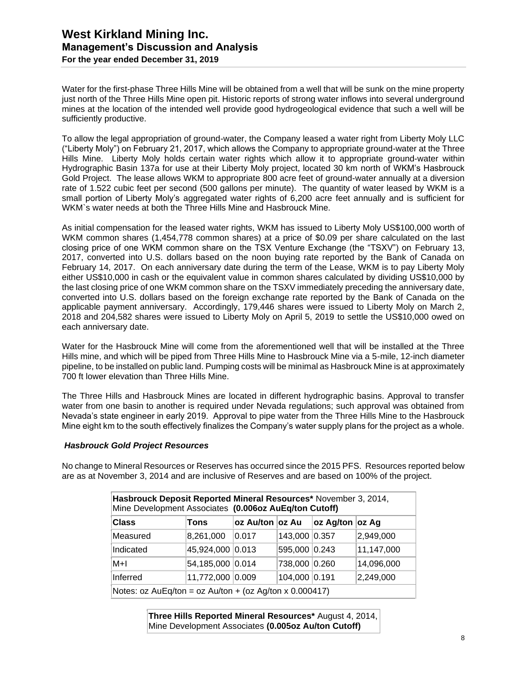Water for the first-phase Three Hills Mine will be obtained from a well that will be sunk on the mine property just north of the Three Hills Mine open pit. Historic reports of strong water inflows into several underground mines at the location of the intended well provide good hydrogeological evidence that such a well will be sufficiently productive.

To allow the legal appropriation of ground-water, the Company leased a water right from Liberty Moly LLC ("Liberty Moly") on February 21, 2017, which allows the Company to appropriate ground-water at the Three Hills Mine. Liberty Moly holds certain water rights which allow it to appropriate ground-water within Hydrographic Basin 137a for use at their Liberty Moly project, located 30 km north of WKM's Hasbrouck Gold Project. The lease allows WKM to appropriate 800 acre feet of ground-water annually at a diversion rate of 1.522 cubic feet per second (500 gallons per minute). The quantity of water leased by WKM is a small portion of Liberty Moly's aggregated water rights of 6,200 acre feet annually and is sufficient for WKM`s water needs at both the Three Hills Mine and Hasbrouck Mine.

As initial compensation for the leased water rights, WKM has issued to Liberty Moly US\$100,000 worth of WKM common shares (1,454,778 common shares) at a price of \$0.09 per share calculated on the last closing price of one WKM common share on the TSX Venture Exchange (the "TSXV") on February 13, 2017, converted into U.S. dollars based on the noon buying rate reported by the Bank of Canada on February 14, 2017. On each anniversary date during the term of the Lease, WKM is to pay Liberty Moly either US\$10,000 in cash or the equivalent value in common shares calculated by dividing US\$10,000 by the last closing price of one WKM common share on the TSXV immediately preceding the anniversary date, converted into U.S. dollars based on the foreign exchange rate reported by the Bank of Canada on the applicable payment anniversary. Accordingly, 179,446 shares were issued to Liberty Moly on March 2, 2018 and 204,582 shares were issued to Liberty Moly on April 5, 2019 to settle the US\$10,000 owed on each anniversary date.

Water for the Hasbrouck Mine will come from the aforementioned well that will be installed at the Three Hills mine, and which will be piped from Three Hills Mine to Hasbrouck Mine via a 5-mile, 12-inch diameter pipeline, to be installed on public land. Pumping costs will be minimal as Hasbrouck Mine is at approximately 700 ft lower elevation than Three Hills Mine.

The Three Hills and Hasbrouck Mines are located in different hydrographic basins. Approval to transfer water from one basin to another is required under Nevada regulations; such approval was obtained from Nevada's state engineer in early 2019. Approval to pipe water from the Three Hills Mine to the Hasbrouck Mine eight km to the south effectively finalizes the Company's water supply plans for the project as a whole.

#### *Hasbrouck Gold Project Resources*

No change to Mineral Resources or Reserves has occurred since the 2015 PFS. Resources reported below are as at November 3, 2014 and are inclusive of Reserves and are based on 100% of the project.

| Hasbrouck Deposit Reported Mineral Resources* November 3, 2014,<br>Mine Development Associates (0.006oz AuEq/ton Cutoff) |                  |                  |                 |                 |            |  |  |  |
|--------------------------------------------------------------------------------------------------------------------------|------------------|------------------|-----------------|-----------------|------------|--|--|--|
| <b>Class</b>                                                                                                             | Tons             | oz Au/ton ∣oz Au |                 | oz Ag/ton oz Ag |            |  |  |  |
| Measured                                                                                                                 | 8,261,000        | 0.017            | 143,000 0.357   |                 | 2,949,000  |  |  |  |
| Indicated                                                                                                                | 45,924,000 0.013 |                  | 595,000 0.243   |                 | 11,147,000 |  |  |  |
| $M+1$                                                                                                                    | 54,185,000 0.014 |                  | 738,000 0.260   |                 | 14,096,000 |  |  |  |
| Inferred                                                                                                                 | 11,772,000 0.009 |                  | $104,000$ 0.191 |                 | 2,249,000  |  |  |  |
| Notes: $oz AuEq/ton = oz Au/ton + (oz Ag/ton x 0.000417)$                                                                |                  |                  |                 |                 |            |  |  |  |

**Three Hills Reported Mineral Resources\*** August 4, 2014, Mine Development Associates **(0.005oz Au/ton Cutoff)**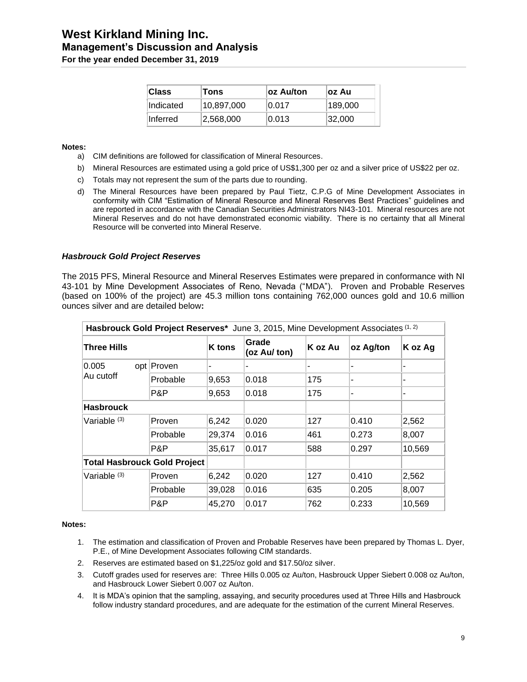### **West Kirkland Mining Inc. Management's Discussion and Analysis For the year ended December 31, 2019**

| <b>Class</b>     | Tons       | ∣oz Au/ton | loz Au  |
|------------------|------------|------------|---------|
| <b>Indicated</b> | 10,897,000 | 0.017      | 189,000 |
| ∣Inferred        | 2,568,000  | 0.013      | 32,000  |

#### **Notes:**

- a) CIM definitions are followed for classification of Mineral Resources.
- b) Mineral Resources are estimated using a gold price of US\$1,300 per oz and a silver price of US\$22 per oz.
- c) Totals may not represent the sum of the parts due to rounding.
- d) The Mineral Resources have been prepared by Paul Tietz, C.P.G of Mine Development Associates in conformity with CIM "Estimation of Mineral Resource and Mineral Reserves Best Practices" guidelines and are reported in accordance with the Canadian Securities Administrators NI43-101. Mineral resources are not Mineral Reserves and do not have demonstrated economic viability. There is no certainty that all Mineral Resource will be converted into Mineral Reserve.

#### *Hasbrouck Gold Project Reserves*

The 2015 PFS, Mineral Resource and Mineral Reserves Estimates were prepared in conformance with NI 43-101 by Mine Development Associates of Reno, Nevada ("MDA"). Proven and Probable Reserves (based on 100% of the project) are 45.3 million tons containing 762,000 ounces gold and 10.6 million ounces silver and are detailed below**:**

| Hasbrouck Gold Project Reserves* June 3, 2015, Mine Development Associates (1, 2) |               |               |                       |         |           |         |  |  |  |
|-----------------------------------------------------------------------------------|---------------|---------------|-----------------------|---------|-----------|---------|--|--|--|
| Three Hills                                                                       |               | <b>K</b> tons | Grade<br>(oz Au/ ton) | K oz Au | oz Ag/ton | K oz Ag |  |  |  |
| 0.005<br>Au cutoff                                                                | opt Proven    | ۰             |                       |         |           |         |  |  |  |
|                                                                                   | Probable      | 9,653         | 0.018                 | 175     | ٠         | ۰       |  |  |  |
|                                                                                   | P&P           | 9,653         | 0.018                 | 175     |           | ۰       |  |  |  |
| <b>Hasbrouck</b>                                                                  |               |               |                       |         |           |         |  |  |  |
| Variable <sup>(3)</sup>                                                           | <b>Proven</b> | 6,242         | 0.020                 | 127     | 0.410     | 2,562   |  |  |  |
|                                                                                   | Probable      | 29,374        | 0.016                 | 461     | 0.273     | 8,007   |  |  |  |
|                                                                                   | P&P           | 35,617        | 0.017                 | 588     | 0.297     | 10,569  |  |  |  |
| <b>Total Hasbrouck Gold Project</b>                                               |               |               |                       |         |           |         |  |  |  |
| Variable $(3)$                                                                    | <b>Proven</b> | 6,242         | 0.020                 | 127     | 0.410     | 2,562   |  |  |  |
|                                                                                   | Probable      | 39,028        | 0.016                 | 635     | 0.205     | 8,007   |  |  |  |
|                                                                                   | P&P           | 45,270        | 0.017                 | 762     | 0.233     | 10,569  |  |  |  |

#### **Notes:**

- 1. The estimation and classification of Proven and Probable Reserves have been prepared by Thomas L. Dyer, P.E., of Mine Development Associates following CIM standards.
- 2. Reserves are estimated based on \$1,225/oz gold and \$17.50/oz silver.
- 3. Cutoff grades used for reserves are: Three Hills 0.005 oz Au/ton, Hasbrouck Upper Siebert 0.008 oz Au/ton, and Hasbrouck Lower Siebert 0.007 oz Au/ton.
- 4. It is MDA's opinion that the sampling, assaying, and security procedures used at Three Hills and Hasbrouck follow industry standard procedures, and are adequate for the estimation of the current Mineral Reserves.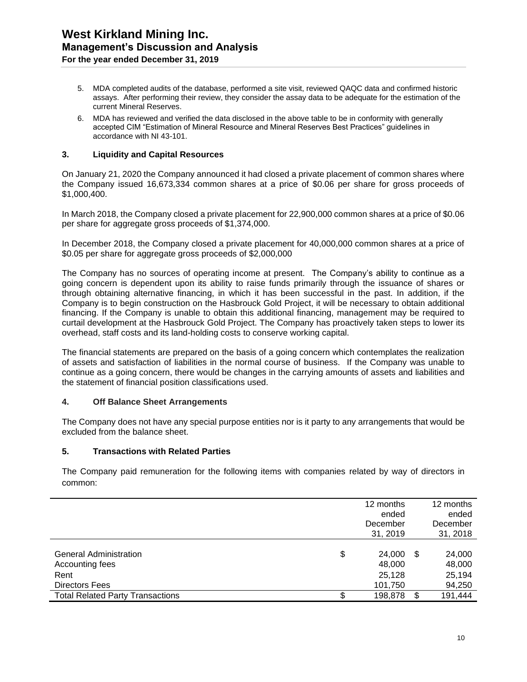- 5. MDA completed audits of the database, performed a site visit, reviewed QAQC data and confirmed historic assays. After performing their review, they consider the assay data to be adequate for the estimation of the current Mineral Reserves.
- 6. MDA has reviewed and verified the data disclosed in the above table to be in conformity with generally accepted CIM "Estimation of Mineral Resource and Mineral Reserves Best Practices" guidelines in accordance with NI 43-101.

#### **3. Liquidity and Capital Resources**

On January 21, 2020 the Company announced it had closed a private placement of common shares where the Company issued 16,673,334 common shares at a price of \$0.06 per share for gross proceeds of \$1,000,400.

In March 2018, the Company closed a private placement for 22,900,000 common shares at a price of \$0.06 per share for aggregate gross proceeds of \$1,374,000.

In December 2018, the Company closed a private placement for 40,000,000 common shares at a price of \$0.05 per share for aggregate gross proceeds of \$2,000,000

The Company has no sources of operating income at present. The Company's ability to continue as a going concern is dependent upon its ability to raise funds primarily through the issuance of shares or through obtaining alternative financing, in which it has been successful in the past. In addition, if the Company is to begin construction on the Hasbrouck Gold Project, it will be necessary to obtain additional financing. If the Company is unable to obtain this additional financing, management may be required to curtail development at the Hasbrouck Gold Project. The Company has proactively taken steps to lower its overhead, staff costs and its land-holding costs to conserve working capital.

The financial statements are prepared on the basis of a going concern which contemplates the realization of assets and satisfaction of liabilities in the normal course of business. If the Company was unable to continue as a going concern, there would be changes in the carrying amounts of assets and liabilities and the statement of financial position classifications used.

#### **4. Off Balance Sheet Arrangements**

The Company does not have any special purpose entities nor is it party to any arrangements that would be excluded from the balance sheet.

#### **5. Transactions with Related Parties**

The Company paid remuneration for the following items with companies related by way of directors in common:

|                                                                                   |     | 12 months<br>ended<br>December<br>31, 2019 | 12 months<br>ended<br>December<br>31, 2018 |
|-----------------------------------------------------------------------------------|-----|--------------------------------------------|--------------------------------------------|
| <b>General Administration</b><br>Accounting fees<br>Rent<br><b>Directors Fees</b> | \$  | 24,000<br>48,000<br>25,128<br>101,750      | \$<br>24,000<br>48,000<br>25,194<br>94,250 |
| <b>Total Related Party Transactions</b>                                           | \$. | 198,878                                    | \$<br>191,444                              |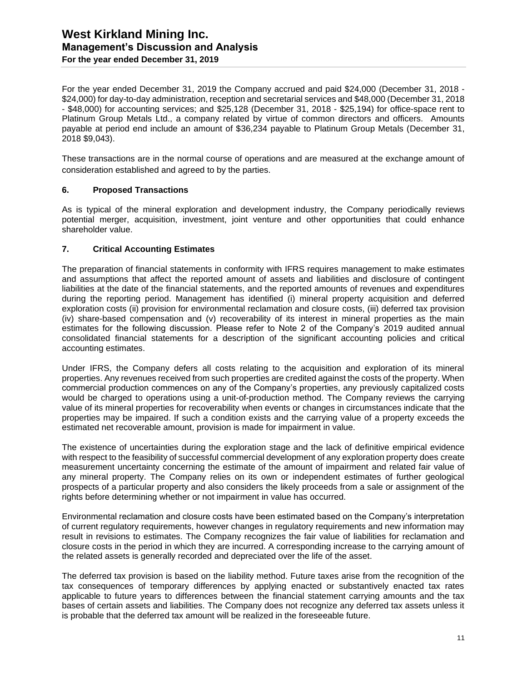### **West Kirkland Mining Inc. Management's Discussion and Analysis For the year ended December 31, 2019**

For the year ended December 31, 2019 the Company accrued and paid \$24,000 (December 31, 2018 - \$24,000) for day-to-day administration, reception and secretarial services and \$48,000 (December 31, 2018 - \$48,000) for accounting services; and \$25,128 (December 31, 2018 - \$25,194) for office-space rent to Platinum Group Metals Ltd., a company related by virtue of common directors and officers. Amounts payable at period end include an amount of \$36,234 payable to Platinum Group Metals (December 31, 2018 \$9,043).

These transactions are in the normal course of operations and are measured at the exchange amount of consideration established and agreed to by the parties.

#### **6. Proposed Transactions**

As is typical of the mineral exploration and development industry, the Company periodically reviews potential merger, acquisition, investment, joint venture and other opportunities that could enhance shareholder value.

#### **7. Critical Accounting Estimates**

The preparation of financial statements in conformity with IFRS requires management to make estimates and assumptions that affect the reported amount of assets and liabilities and disclosure of contingent liabilities at the date of the financial statements, and the reported amounts of revenues and expenditures during the reporting period. Management has identified (i) mineral property acquisition and deferred exploration costs (ii) provision for environmental reclamation and closure costs, (iii) deferred tax provision (iv) share-based compensation and (v) recoverability of its interest in mineral properties as the main estimates for the following discussion. Please refer to Note 2 of the Company's 2019 audited annual consolidated financial statements for a description of the significant accounting policies and critical accounting estimates.

Under IFRS, the Company defers all costs relating to the acquisition and exploration of its mineral properties. Any revenues received from such properties are credited against the costs of the property. When commercial production commences on any of the Company's properties, any previously capitalized costs would be charged to operations using a unit-of-production method. The Company reviews the carrying value of its mineral properties for recoverability when events or changes in circumstances indicate that the properties may be impaired. If such a condition exists and the carrying value of a property exceeds the estimated net recoverable amount, provision is made for impairment in value.

The existence of uncertainties during the exploration stage and the lack of definitive empirical evidence with respect to the feasibility of successful commercial development of any exploration property does create measurement uncertainty concerning the estimate of the amount of impairment and related fair value of any mineral property. The Company relies on its own or independent estimates of further geological prospects of a particular property and also considers the likely proceeds from a sale or assignment of the rights before determining whether or not impairment in value has occurred.

Environmental reclamation and closure costs have been estimated based on the Company's interpretation of current regulatory requirements, however changes in regulatory requirements and new information may result in revisions to estimates. The Company recognizes the fair value of liabilities for reclamation and closure costs in the period in which they are incurred. A corresponding increase to the carrying amount of the related assets is generally recorded and depreciated over the life of the asset.

The deferred tax provision is based on the liability method. Future taxes arise from the recognition of the tax consequences of temporary differences by applying enacted or substantively enacted tax rates applicable to future years to differences between the financial statement carrying amounts and the tax bases of certain assets and liabilities. The Company does not recognize any deferred tax assets unless it is probable that the deferred tax amount will be realized in the foreseeable future.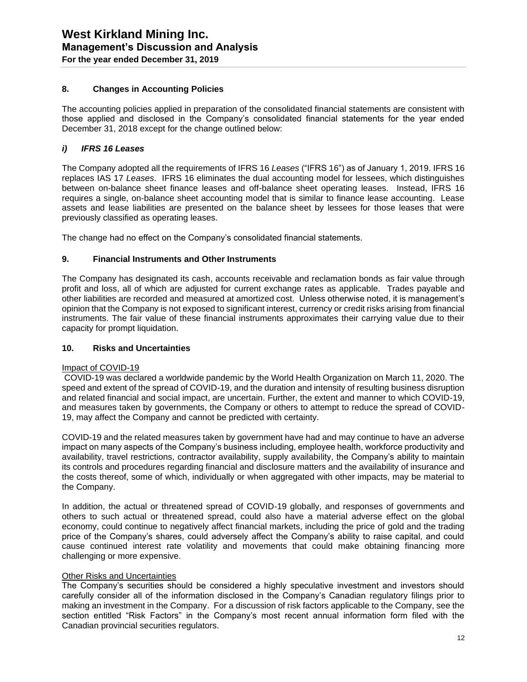#### **8. Changes in Accounting Policies**

The accounting policies applied in preparation of the consolidated financial statements are consistent with those applied and disclosed in the Company's consolidated financial statements for the year ended December 31, 2018 except for the change outlined below:

#### *i) IFRS 16 Leases*

The Company adopted all the requirements of IFRS 16 *Leases* ("IFRS 16") as of January 1, 2019. IFRS 16 replaces IAS 17 *Leases*. IFRS 16 eliminates the dual accounting model for lessees, which distinguishes between on-balance sheet finance leases and off-balance sheet operating leases. Instead, IFRS 16 requires a single, on-balance sheet accounting model that is similar to finance lease accounting. Lease assets and lease liabilities are presented on the balance sheet by lessees for those leases that were previously classified as operating leases.

The change had no effect on the Company's consolidated financial statements.

#### **9. Financial Instruments and Other Instruments**

The Company has designated its cash, accounts receivable and reclamation bonds as fair value through profit and loss, all of which are adjusted for current exchange rates as applicable. Trades payable and other liabilities are recorded and measured at amortized cost. Unless otherwise noted, it is management's opinion that the Company is not exposed to significant interest, currency or credit risks arising from financial instruments. The fair value of these financial instruments approximates their carrying value due to their capacity for prompt liquidation.

#### **10. Risks and Uncertainties**

#### Impact of COVID-19

COVID-19 was declared a worldwide pandemic by the World Health Organization on March 11, 2020. The speed and extent of the spread of COVID-19, and the duration and intensity of resulting business disruption and related financial and social impact, are uncertain. Further, the extent and manner to which COVID-19, and measures taken by governments, the Company or others to attempt to reduce the spread of COVID-19, may affect the Company and cannot be predicted with certainty.

COVID-19 and the related measures taken by government have had and may continue to have an adverse impact on many aspects of the Company's business including, employee health, workforce productivity and availability, travel restrictions, contractor availability, supply availability, the Company's ability to maintain its controls and procedures regarding financial and disclosure matters and the availability of insurance and the costs thereof, some of which, individually or when aggregated with other impacts, may be material to the Company.

In addition, the actual or threatened spread of COVID-19 globally, and responses of governments and others to such actual or threatened spread, could also have a material adverse effect on the global economy, could continue to negatively affect financial markets, including the price of gold and the trading price of the Company's shares, could adversely affect the Company's ability to raise capital, and could cause continued interest rate volatility and movements that could make obtaining financing more challenging or more expensive.

#### Other Risks and Uncertainties

The Company's securities should be considered a highly speculative investment and investors should carefully consider all of the information disclosed in the Company's Canadian regulatory filings prior to making an investment in the Company. For a discussion of risk factors applicable to the Company, see the section entitled "Risk Factors" in the Company's most recent annual information form filed with the Canadian provincial securities regulators.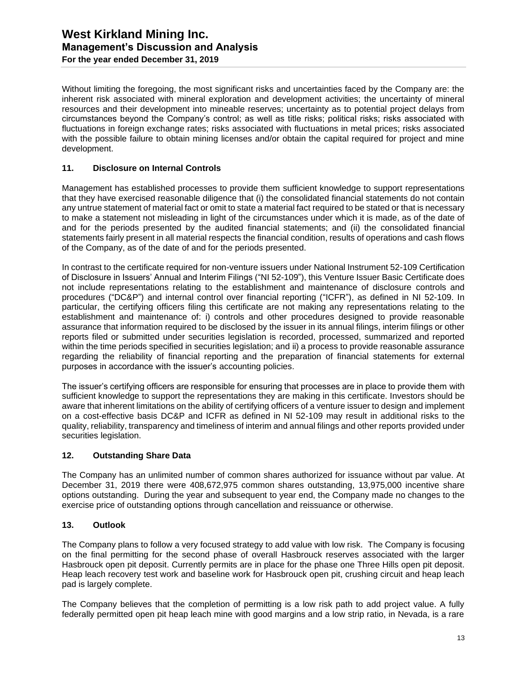Without limiting the foregoing, the most significant risks and uncertainties faced by the Company are: the inherent risk associated with mineral exploration and development activities; the uncertainty of mineral resources and their development into mineable reserves; uncertainty as to potential project delays from circumstances beyond the Company's control; as well as title risks; political risks; risks associated with fluctuations in foreign exchange rates; risks associated with fluctuations in metal prices; risks associated with the possible failure to obtain mining licenses and/or obtain the capital required for project and mine development.

#### **11. Disclosure on Internal Controls**

Management has established processes to provide them sufficient knowledge to support representations that they have exercised reasonable diligence that (i) the consolidated financial statements do not contain any untrue statement of material fact or omit to state a material fact required to be stated or that is necessary to make a statement not misleading in light of the circumstances under which it is made, as of the date of and for the periods presented by the audited financial statements; and (ii) the consolidated financial statements fairly present in all material respects the financial condition, results of operations and cash flows of the Company, as of the date of and for the periods presented.

In contrast to the certificate required for non-venture issuers under National Instrument 52-109 Certification of Disclosure in Issuers' Annual and Interim Filings ("NI 52-109"), this Venture Issuer Basic Certificate does not include representations relating to the establishment and maintenance of disclosure controls and procedures ("DC&P") and internal control over financial reporting ("ICFR"), as defined in NI 52-109. In particular, the certifying officers filing this certificate are not making any representations relating to the establishment and maintenance of: i) controls and other procedures designed to provide reasonable assurance that information required to be disclosed by the issuer in its annual filings, interim filings or other reports filed or submitted under securities legislation is recorded, processed, summarized and reported within the time periods specified in securities legislation; and ii) a process to provide reasonable assurance regarding the reliability of financial reporting and the preparation of financial statements for external purposes in accordance with the issuer's accounting policies.

The issuer's certifying officers are responsible for ensuring that processes are in place to provide them with sufficient knowledge to support the representations they are making in this certificate. Investors should be aware that inherent limitations on the ability of certifying officers of a venture issuer to design and implement on a cost-effective basis DC&P and ICFR as defined in NI 52-109 may result in additional risks to the quality, reliability, transparency and timeliness of interim and annual filings and other reports provided under securities legislation.

#### **12. Outstanding Share Data**

The Company has an unlimited number of common shares authorized for issuance without par value. At December 31, 2019 there were 408,672,975 common shares outstanding, 13,975,000 incentive share options outstanding. During the year and subsequent to year end, the Company made no changes to the exercise price of outstanding options through cancellation and reissuance or otherwise.

#### **13. Outlook**

The Company plans to follow a very focused strategy to add value with low risk. The Company is focusing on the final permitting for the second phase of overall Hasbrouck reserves associated with the larger Hasbrouck open pit deposit. Currently permits are in place for the phase one Three Hills open pit deposit. Heap leach recovery test work and baseline work for Hasbrouck open pit, crushing circuit and heap leach pad is largely complete.

The Company believes that the completion of permitting is a low risk path to add project value. A fully federally permitted open pit heap leach mine with good margins and a low strip ratio, in Nevada, is a rare